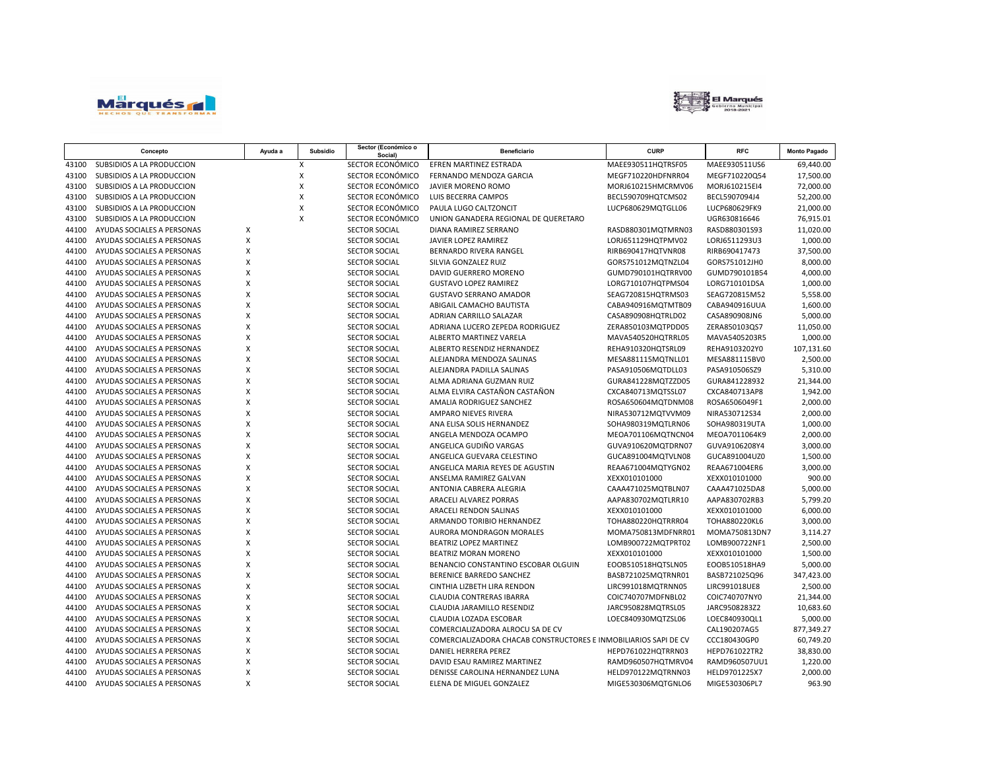



| SUBSIDIOS A LA PRODUCCION<br>X<br>SECTOR ECONÓMICO<br>EFREN MARTINEZ ESTRADA<br>MAEE930511HQTRSF05<br>MAEE930511US6<br>69,440.00<br>43100<br>SUBSIDIOS A LA PRODUCCION<br>X<br>SECTOR ECONÓMICO<br>17,500.00<br>43100<br>FERNANDO MENDOZA GARCIA<br>MEGF710220HDFNRR04<br>MEGF710220Q54<br>SECTOR ECONÓMICO<br>43100<br>SUBSIDIOS A LA PRODUCCION<br>Χ<br>JAVIER MORENO ROMO<br>MORJ610215HMCRMV06<br>MORJ610215EI4<br>72,000.00<br>X<br>SECTOR ECONÓMICO<br>52,200.00<br>43100<br>SUBSIDIOS A LA PRODUCCION<br>LUIS BECERRA CAMPOS<br>BECL590709HQTCMS02<br>BECL5907094J4<br>SECTOR ECONÓMICO<br>43100<br>SUBSIDIOS A LA PRODUCCION<br>X<br>PAULA LUGO CALTZONCIT<br>21,000.00<br>LUCP680629MQTGLL06<br>LUCP680629FK9<br>X<br>SECTOR ECONÓMICO<br>43100<br>SUBSIDIOS A LA PRODUCCION<br>UNION GANADERA REGIONAL DE QUERETARO<br>UGR630816646<br>76,915.01<br>44100<br>AYUDAS SOCIALES A PERSONAS<br>х<br><b>SECTOR SOCIAL</b><br>DIANA RAMIREZ SERRANO<br>RASD880301MQTMRN03<br>RASD880301S93<br>11,020.00<br>X<br>44100<br>AYUDAS SOCIALES A PERSONAS<br>SECTOR SOCIAL<br>JAVIER LOPEZ RAMIREZ<br>LORJ651129HQTPMV02<br>LORJ6511293U3<br>1,000.00<br>X<br>44100<br>AYUDAS SOCIALES A PERSONAS<br><b>SECTOR SOCIAL</b><br>BERNARDO RIVERA RANGEL<br>RIRB690417HQTVNR08<br>RIRB690417473<br>37,500.00<br>X<br>8,000.00<br>44100<br>AYUDAS SOCIALES A PERSONAS<br><b>SECTOR SOCIAL</b><br>SILVIA GONZALEZ RUIZ<br>GORS751012MQTNZL04<br>GORS751012JH0<br>X<br>44100<br>AYUDAS SOCIALES A PERSONAS<br><b>SECTOR SOCIAL</b><br>GUMD790101HQTRRV00<br>GUMD790101B54<br>4,000.00<br>DAVID GUERRERO MORENO<br>X<br>44100<br>AYUDAS SOCIALES A PERSONAS<br>SECTOR SOCIAL<br><b>GUSTAVO LOPEZ RAMIREZ</b><br>LORG710107HQTPMS04<br>LORG710101DSA<br>1,000.00<br>X<br>44100<br>AYUDAS SOCIALES A PERSONAS<br>SEAG720815HQTRMS03<br>SEAG720815M52<br>5,558.00<br><b>SECTOR SOCIAL</b><br><b>GUSTAVO SERRANO AMADOR</b><br>X<br>44100<br>AYUDAS SOCIALES A PERSONAS<br>SECTOR SOCIAL<br>ABIGAIL CAMACHO BAUTISTA<br>CABA940916MQTMTB09<br>CABA940916UUA<br>1,600.00<br>X<br>44100<br>AYUDAS SOCIALES A PERSONAS<br>SECTOR SOCIAL<br>ADRIAN CARRILLO SALAZAR<br>CASA890908HQTRLD02<br>CASA890908JN6<br>5,000.00<br>X<br>AYUDAS SOCIALES A PERSONAS<br>SECTOR SOCIAL<br>ADRIANA LUCERO ZEPEDA RODRIGUEZ<br>11,050.00<br>44100<br>ZERA850103MQTPDD05<br>ZERA850103QS7<br>X<br>44100<br>AYUDAS SOCIALES A PERSONAS<br><b>SECTOR SOCIAL</b><br>ALBERTO MARTINEZ VARELA<br>MAVA540520HQTRRL05<br>1,000.00<br>MAVA5405203R5<br>X<br>44100<br>AYUDAS SOCIALES A PERSONAS<br><b>SECTOR SOCIAL</b><br>ALBERTO RESENDIZ HERNANDEZ<br>REHA910320HQTSRL09<br>REHA9103202Y0<br>107,131.60<br>X<br>2,500.00<br>44100<br>AYUDAS SOCIALES A PERSONAS<br><b>SECTOR SOCIAL</b><br>ALEJANDRA MENDOZA SALINAS<br>MESA881115MQTNLL01<br>MESA881115BV0<br>X<br>44100<br>AYUDAS SOCIALES A PERSONAS<br><b>SECTOR SOCIAL</b><br>PASA910506MQTDLL03<br>5,310.00<br>ALEJANDRA PADILLA SALINAS<br>PASA910506SZ9<br>X<br>44100<br>AYUDAS SOCIALES A PERSONAS<br><b>SECTOR SOCIAL</b><br>ALMA ADRIANA GUZMAN RUIZ<br>GURA841228MQTZZD05<br>GURA841228932<br>21,344.00<br>X<br>44100<br><b>SECTOR SOCIAL</b><br>ALMA ELVIRA CASTAÑON CASTAÑON<br>1,942.00<br>AYUDAS SOCIALES A PERSONAS<br>CXCA840713MQTSSL07<br>CXCA840713AP8<br>X<br>2,000.00<br>44100<br>AYUDAS SOCIALES A PERSONAS<br>SECTOR SOCIAL<br>AMALIA RODRIGUEZ SANCHEZ<br>ROSA650604MQTDNM08<br>ROSA6506049F1<br>44100<br>X<br>SECTOR SOCIAL<br>2,000.00<br>AYUDAS SOCIALES A PERSONAS<br><b>AMPARO NIEVES RIVERA</b><br>NIRA530712MQTVVM09<br>NIRA530712S34<br>X<br>44100<br>AYUDAS SOCIALES A PERSONAS<br>SECTOR SOCIAL<br>ANA ELISA SOLIS HERNANDEZ<br>SOHA980319MQTLRN06<br>SOHA980319UTA<br>1,000.00<br>X<br>2,000.00<br>44100<br>AYUDAS SOCIALES A PERSONAS<br><b>SECTOR SOCIAL</b><br>ANGELA MENDOZA OCAMPO<br>MEOA701106MQTNCN04<br>MEOA7011064K9<br>AYUDAS SOCIALES A PERSONAS<br>Χ<br>ANGELICA GUDIÑO VARGAS<br>GUVA9106208Y4<br>3,000.00<br>44100<br>SECTOR SOCIAL<br>GUVA910620MQTDRN07<br>X<br>44100<br>AYUDAS SOCIALES A PERSONAS<br><b>SECTOR SOCIAL</b><br>ANGELICA GUEVARA CELESTINO<br>GUCA891004MQTVLN08<br>GUCA891004UZ0<br>1,500.00<br>AYUDAS SOCIALES A PERSONAS<br>X<br>3,000.00<br>44100<br><b>SECTOR SOCIAL</b><br>ANGELICA MARIA REYES DE AGUSTIN<br>REAA671004MQTYGN02<br>REAA671004ER6<br>X<br>44100<br>AYUDAS SOCIALES A PERSONAS<br><b>SECTOR SOCIAL</b><br>XEXX010101000<br>XEXX010101000<br>900.00<br>ANSELMA RAMIREZ GALVAN<br>X<br>44100<br>AYUDAS SOCIALES A PERSONAS<br>SECTOR SOCIAL<br>ANTONIA CABRERA ALEGRIA<br>CAAA471025MQTBLN07<br>CAAA471025DA8<br>5,000.00<br>X<br>5,799.20<br>44100<br>AYUDAS SOCIALES A PERSONAS<br><b>SECTOR SOCIAL</b><br><b>ARACELI ALVAREZ PORRAS</b><br>AAPA830702MQTLRR10<br>AAPA830702RB3<br>X<br>AYUDAS SOCIALES A PERSONAS<br>SECTOR SOCIAL<br>XEXX010101000<br>6,000.00<br>44100<br>ARACELI RENDON SALINAS<br>XEXX010101000<br>$\mathsf{x}$<br>3,000.00<br>44100<br>AYUDAS SOCIALES A PERSONAS<br><b>SECTOR SOCIAL</b><br>ARMANDO TORIBIO HERNANDEZ<br>TOHA880220HQTRRR04<br>TOHA880220KL6<br>X<br>AYUDAS SOCIALES A PERSONAS<br>3,114.27<br>44100<br><b>SECTOR SOCIAL</b><br>AURORA MONDRAGON MORALES<br>MOMA750813MDFNRR01<br>MOMA750813DN7<br>X<br>44100<br>AYUDAS SOCIALES A PERSONAS<br><b>SECTOR SOCIAL</b><br>BEATRIZ LOPEZ MARTINEZ<br>LOMB900722MQTPRT02<br>LOMB900722NF1<br>2,500.00<br>X<br>1,500.00<br>44100<br>AYUDAS SOCIALES A PERSONAS<br><b>SECTOR SOCIAL</b><br>BEATRIZ MORAN MORENO<br>XEXX010101000<br>XEXX010101000<br>X<br>44100<br>AYUDAS SOCIALES A PERSONAS<br>SECTOR SOCIAL<br>BENANCIO CONSTANTINO ESCOBAR OLGUIN<br>5,000.00<br>EOOB510518HQTSLN05<br>EOOB510518HA9<br>X<br>44100<br>AYUDAS SOCIALES A PERSONAS<br>SECTOR SOCIAL<br>BERENICE BARREDO SANCHEZ<br>BASB721025MQTRNR01<br>BASB721025Q96<br>347,423.00<br>X<br>2,500.00<br>44100<br>AYUDAS SOCIALES A PERSONAS<br><b>SECTOR SOCIAL</b><br>CINTHIA LIZBETH LIRA RENDON<br>LIRC991018MQTRNN05<br>LIRC991018UE8<br>$\pmb{\mathsf{X}}$<br>AYUDAS SOCIALES A PERSONAS<br><b>SECTOR SOCIAL</b><br>CLAUDIA CONTRERAS IBARRA<br>COIC740707MDFNBL02<br>COIC740707NY0<br>21,344.00<br>44100<br>X<br>44100<br>AYUDAS SOCIALES A PERSONAS<br><b>SECTOR SOCIAL</b><br>CLAUDIA JARAMILLO RESENDIZ<br>JARC950828MQTRSL05<br>JARC9508283Z2<br>10,683.60<br>X<br>5,000.00<br>44100<br>AYUDAS SOCIALES A PERSONAS<br><b>SECTOR SOCIAL</b><br>CLAUDIA LOZADA ESCOBAR<br>LOEC840930MQTZSL06<br>LOEC840930QL1<br>X<br>877,349.27<br>44100<br>AYUDAS SOCIALES A PERSONAS<br><b>SECTOR SOCIAL</b><br>COMERCIALIZADORA ALROCU SA DE CV<br>CAL190207AG5<br>X<br>44100<br>AYUDAS SOCIALES A PERSONAS<br><b>SECTOR SOCIAL</b><br>COMERCIALIZADORA CHACAB CONSTRUCTORES E INMOBILIARIOS SAPI DE CV<br>CCC180430GP0<br>60,749.20<br>X<br>44100<br>AYUDAS SOCIALES A PERSONAS<br>38,830.00<br>SECTOR SOCIAL<br>DANIEL HERRERA PEREZ<br>HEPD761022HQTRRN03<br>HEPD761022TR2 |       | Concepto                   | Ayuda a | Subsidio | Sector (Económico o<br>Social) | <b>Beneficiario</b>         | <b>CURP</b>        | <b>RFC</b>    | <b>Monto Pagado</b> |
|---------------------------------------------------------------------------------------------------------------------------------------------------------------------------------------------------------------------------------------------------------------------------------------------------------------------------------------------------------------------------------------------------------------------------------------------------------------------------------------------------------------------------------------------------------------------------------------------------------------------------------------------------------------------------------------------------------------------------------------------------------------------------------------------------------------------------------------------------------------------------------------------------------------------------------------------------------------------------------------------------------------------------------------------------------------------------------------------------------------------------------------------------------------------------------------------------------------------------------------------------------------------------------------------------------------------------------------------------------------------------------------------------------------------------------------------------------------------------------------------------------------------------------------------------------------------------------------------------------------------------------------------------------------------------------------------------------------------------------------------------------------------------------------------------------------------------------------------------------------------------------------------------------------------------------------------------------------------------------------------------------------------------------------------------------------------------------------------------------------------------------------------------------------------------------------------------------------------------------------------------------------------------------------------------------------------------------------------------------------------------------------------------------------------------------------------------------------------------------------------------------------------------------------------------------------------------------------------------------------------------------------------------------------------------------------------------------------------------------------------------------------------------------------------------------------------------------------------------------------------------------------------------------------------------------------------------------------------------------------------------------------------------------------------------------------------------------------------------------------------------------------------------------------------------------------------------------------------------------------------------------------------------------------------------------------------------------------------------------------------------------------------------------------------------------------------------------------------------------------------------------------------------------------------------------------------------------------------------------------------------------------------------------------------------------------------------------------------------------------------------------------------------------------------------------------------------------------------------------------------------------------------------------------------------------------------------------------------------------------------------------------------------------------------------------------------------------------------------------------------------------------------------------------------------------------------------------------------------------------------------------------------------------------------------------------------------------------------------------------------------------------------------------------------------------------------------------------------------------------------------------------------------------------------------------------------------------------------------------------------------------------------------------------------------------------------------------------------------------------------------------------------------------------------------------------------------------------------------------------------------------------------------------------------------------------------------------------------------------------------------------------------------------------------------------------------------------------------------------------------------------------------------------------------------------------------------------------------------------------------------------------------------------------------------------------------------------------------------------------------------------------------------------------------------------------------------------------------------------------------------------------------------------------------------------------------------------------------------------------------------------------------------------------------------------------------------------------------------------------------------------------------------------------------------------------------------------------------------------------------------------------------------------------------------------------------------------------------------------------------------------------------------------------------------------------------------------------------------------------------------------------------------------------------------------------------------------------------------------------------------------------------------------------------------------------------------------------------------------------------------------------------------------------------------------------------------------------------------------------------------------------------------------------------------------------------------------------------------------------------------------------------------------------------------------------------------------------------------------------------------------------------------------------------------------------------------------------------------------------------------------------------------------------------------------|-------|----------------------------|---------|----------|--------------------------------|-----------------------------|--------------------|---------------|---------------------|
|                                                                                                                                                                                                                                                                                                                                                                                                                                                                                                                                                                                                                                                                                                                                                                                                                                                                                                                                                                                                                                                                                                                                                                                                                                                                                                                                                                                                                                                                                                                                                                                                                                                                                                                                                                                                                                                                                                                                                                                                                                                                                                                                                                                                                                                                                                                                                                                                                                                                                                                                                                                                                                                                                                                                                                                                                                                                                                                                                                                                                                                                                                                                                                                                                                                                                                                                                                                                                                                                                                                                                                                                                                                                                                                                                                                                                                                                                                                                                                                                                                                                                                                                                                                                                                                                                                                                                                                                                                                                                                                                                                                                                                                                                                                                                                                                                                                                                                                                                                                                                                                                                                                                                                                                                                                                                                                                                                                                                                                                                                                                                                                                                                                                                                                                                                                                                                                                                                                                                                                                                                                                                                                                                                                                                                                                                                                                                                                                                                                                                                                                                                                                                                                                                                                                                                                                                                                                                                                                 |       |                            |         |          |                                |                             |                    |               |                     |
|                                                                                                                                                                                                                                                                                                                                                                                                                                                                                                                                                                                                                                                                                                                                                                                                                                                                                                                                                                                                                                                                                                                                                                                                                                                                                                                                                                                                                                                                                                                                                                                                                                                                                                                                                                                                                                                                                                                                                                                                                                                                                                                                                                                                                                                                                                                                                                                                                                                                                                                                                                                                                                                                                                                                                                                                                                                                                                                                                                                                                                                                                                                                                                                                                                                                                                                                                                                                                                                                                                                                                                                                                                                                                                                                                                                                                                                                                                                                                                                                                                                                                                                                                                                                                                                                                                                                                                                                                                                                                                                                                                                                                                                                                                                                                                                                                                                                                                                                                                                                                                                                                                                                                                                                                                                                                                                                                                                                                                                                                                                                                                                                                                                                                                                                                                                                                                                                                                                                                                                                                                                                                                                                                                                                                                                                                                                                                                                                                                                                                                                                                                                                                                                                                                                                                                                                                                                                                                                                 |       |                            |         |          |                                |                             |                    |               |                     |
|                                                                                                                                                                                                                                                                                                                                                                                                                                                                                                                                                                                                                                                                                                                                                                                                                                                                                                                                                                                                                                                                                                                                                                                                                                                                                                                                                                                                                                                                                                                                                                                                                                                                                                                                                                                                                                                                                                                                                                                                                                                                                                                                                                                                                                                                                                                                                                                                                                                                                                                                                                                                                                                                                                                                                                                                                                                                                                                                                                                                                                                                                                                                                                                                                                                                                                                                                                                                                                                                                                                                                                                                                                                                                                                                                                                                                                                                                                                                                                                                                                                                                                                                                                                                                                                                                                                                                                                                                                                                                                                                                                                                                                                                                                                                                                                                                                                                                                                                                                                                                                                                                                                                                                                                                                                                                                                                                                                                                                                                                                                                                                                                                                                                                                                                                                                                                                                                                                                                                                                                                                                                                                                                                                                                                                                                                                                                                                                                                                                                                                                                                                                                                                                                                                                                                                                                                                                                                                                                 |       |                            |         |          |                                |                             |                    |               |                     |
|                                                                                                                                                                                                                                                                                                                                                                                                                                                                                                                                                                                                                                                                                                                                                                                                                                                                                                                                                                                                                                                                                                                                                                                                                                                                                                                                                                                                                                                                                                                                                                                                                                                                                                                                                                                                                                                                                                                                                                                                                                                                                                                                                                                                                                                                                                                                                                                                                                                                                                                                                                                                                                                                                                                                                                                                                                                                                                                                                                                                                                                                                                                                                                                                                                                                                                                                                                                                                                                                                                                                                                                                                                                                                                                                                                                                                                                                                                                                                                                                                                                                                                                                                                                                                                                                                                                                                                                                                                                                                                                                                                                                                                                                                                                                                                                                                                                                                                                                                                                                                                                                                                                                                                                                                                                                                                                                                                                                                                                                                                                                                                                                                                                                                                                                                                                                                                                                                                                                                                                                                                                                                                                                                                                                                                                                                                                                                                                                                                                                                                                                                                                                                                                                                                                                                                                                                                                                                                                                 |       |                            |         |          |                                |                             |                    |               |                     |
|                                                                                                                                                                                                                                                                                                                                                                                                                                                                                                                                                                                                                                                                                                                                                                                                                                                                                                                                                                                                                                                                                                                                                                                                                                                                                                                                                                                                                                                                                                                                                                                                                                                                                                                                                                                                                                                                                                                                                                                                                                                                                                                                                                                                                                                                                                                                                                                                                                                                                                                                                                                                                                                                                                                                                                                                                                                                                                                                                                                                                                                                                                                                                                                                                                                                                                                                                                                                                                                                                                                                                                                                                                                                                                                                                                                                                                                                                                                                                                                                                                                                                                                                                                                                                                                                                                                                                                                                                                                                                                                                                                                                                                                                                                                                                                                                                                                                                                                                                                                                                                                                                                                                                                                                                                                                                                                                                                                                                                                                                                                                                                                                                                                                                                                                                                                                                                                                                                                                                                                                                                                                                                                                                                                                                                                                                                                                                                                                                                                                                                                                                                                                                                                                                                                                                                                                                                                                                                                                 |       |                            |         |          |                                |                             |                    |               |                     |
|                                                                                                                                                                                                                                                                                                                                                                                                                                                                                                                                                                                                                                                                                                                                                                                                                                                                                                                                                                                                                                                                                                                                                                                                                                                                                                                                                                                                                                                                                                                                                                                                                                                                                                                                                                                                                                                                                                                                                                                                                                                                                                                                                                                                                                                                                                                                                                                                                                                                                                                                                                                                                                                                                                                                                                                                                                                                                                                                                                                                                                                                                                                                                                                                                                                                                                                                                                                                                                                                                                                                                                                                                                                                                                                                                                                                                                                                                                                                                                                                                                                                                                                                                                                                                                                                                                                                                                                                                                                                                                                                                                                                                                                                                                                                                                                                                                                                                                                                                                                                                                                                                                                                                                                                                                                                                                                                                                                                                                                                                                                                                                                                                                                                                                                                                                                                                                                                                                                                                                                                                                                                                                                                                                                                                                                                                                                                                                                                                                                                                                                                                                                                                                                                                                                                                                                                                                                                                                                                 |       |                            |         |          |                                |                             |                    |               |                     |
|                                                                                                                                                                                                                                                                                                                                                                                                                                                                                                                                                                                                                                                                                                                                                                                                                                                                                                                                                                                                                                                                                                                                                                                                                                                                                                                                                                                                                                                                                                                                                                                                                                                                                                                                                                                                                                                                                                                                                                                                                                                                                                                                                                                                                                                                                                                                                                                                                                                                                                                                                                                                                                                                                                                                                                                                                                                                                                                                                                                                                                                                                                                                                                                                                                                                                                                                                                                                                                                                                                                                                                                                                                                                                                                                                                                                                                                                                                                                                                                                                                                                                                                                                                                                                                                                                                                                                                                                                                                                                                                                                                                                                                                                                                                                                                                                                                                                                                                                                                                                                                                                                                                                                                                                                                                                                                                                                                                                                                                                                                                                                                                                                                                                                                                                                                                                                                                                                                                                                                                                                                                                                                                                                                                                                                                                                                                                                                                                                                                                                                                                                                                                                                                                                                                                                                                                                                                                                                                                 |       |                            |         |          |                                |                             |                    |               |                     |
|                                                                                                                                                                                                                                                                                                                                                                                                                                                                                                                                                                                                                                                                                                                                                                                                                                                                                                                                                                                                                                                                                                                                                                                                                                                                                                                                                                                                                                                                                                                                                                                                                                                                                                                                                                                                                                                                                                                                                                                                                                                                                                                                                                                                                                                                                                                                                                                                                                                                                                                                                                                                                                                                                                                                                                                                                                                                                                                                                                                                                                                                                                                                                                                                                                                                                                                                                                                                                                                                                                                                                                                                                                                                                                                                                                                                                                                                                                                                                                                                                                                                                                                                                                                                                                                                                                                                                                                                                                                                                                                                                                                                                                                                                                                                                                                                                                                                                                                                                                                                                                                                                                                                                                                                                                                                                                                                                                                                                                                                                                                                                                                                                                                                                                                                                                                                                                                                                                                                                                                                                                                                                                                                                                                                                                                                                                                                                                                                                                                                                                                                                                                                                                                                                                                                                                                                                                                                                                                                 |       |                            |         |          |                                |                             |                    |               |                     |
|                                                                                                                                                                                                                                                                                                                                                                                                                                                                                                                                                                                                                                                                                                                                                                                                                                                                                                                                                                                                                                                                                                                                                                                                                                                                                                                                                                                                                                                                                                                                                                                                                                                                                                                                                                                                                                                                                                                                                                                                                                                                                                                                                                                                                                                                                                                                                                                                                                                                                                                                                                                                                                                                                                                                                                                                                                                                                                                                                                                                                                                                                                                                                                                                                                                                                                                                                                                                                                                                                                                                                                                                                                                                                                                                                                                                                                                                                                                                                                                                                                                                                                                                                                                                                                                                                                                                                                                                                                                                                                                                                                                                                                                                                                                                                                                                                                                                                                                                                                                                                                                                                                                                                                                                                                                                                                                                                                                                                                                                                                                                                                                                                                                                                                                                                                                                                                                                                                                                                                                                                                                                                                                                                                                                                                                                                                                                                                                                                                                                                                                                                                                                                                                                                                                                                                                                                                                                                                                                 |       |                            |         |          |                                |                             |                    |               |                     |
|                                                                                                                                                                                                                                                                                                                                                                                                                                                                                                                                                                                                                                                                                                                                                                                                                                                                                                                                                                                                                                                                                                                                                                                                                                                                                                                                                                                                                                                                                                                                                                                                                                                                                                                                                                                                                                                                                                                                                                                                                                                                                                                                                                                                                                                                                                                                                                                                                                                                                                                                                                                                                                                                                                                                                                                                                                                                                                                                                                                                                                                                                                                                                                                                                                                                                                                                                                                                                                                                                                                                                                                                                                                                                                                                                                                                                                                                                                                                                                                                                                                                                                                                                                                                                                                                                                                                                                                                                                                                                                                                                                                                                                                                                                                                                                                                                                                                                                                                                                                                                                                                                                                                                                                                                                                                                                                                                                                                                                                                                                                                                                                                                                                                                                                                                                                                                                                                                                                                                                                                                                                                                                                                                                                                                                                                                                                                                                                                                                                                                                                                                                                                                                                                                                                                                                                                                                                                                                                                 |       |                            |         |          |                                |                             |                    |               |                     |
|                                                                                                                                                                                                                                                                                                                                                                                                                                                                                                                                                                                                                                                                                                                                                                                                                                                                                                                                                                                                                                                                                                                                                                                                                                                                                                                                                                                                                                                                                                                                                                                                                                                                                                                                                                                                                                                                                                                                                                                                                                                                                                                                                                                                                                                                                                                                                                                                                                                                                                                                                                                                                                                                                                                                                                                                                                                                                                                                                                                                                                                                                                                                                                                                                                                                                                                                                                                                                                                                                                                                                                                                                                                                                                                                                                                                                                                                                                                                                                                                                                                                                                                                                                                                                                                                                                                                                                                                                                                                                                                                                                                                                                                                                                                                                                                                                                                                                                                                                                                                                                                                                                                                                                                                                                                                                                                                                                                                                                                                                                                                                                                                                                                                                                                                                                                                                                                                                                                                                                                                                                                                                                                                                                                                                                                                                                                                                                                                                                                                                                                                                                                                                                                                                                                                                                                                                                                                                                                                 |       |                            |         |          |                                |                             |                    |               |                     |
|                                                                                                                                                                                                                                                                                                                                                                                                                                                                                                                                                                                                                                                                                                                                                                                                                                                                                                                                                                                                                                                                                                                                                                                                                                                                                                                                                                                                                                                                                                                                                                                                                                                                                                                                                                                                                                                                                                                                                                                                                                                                                                                                                                                                                                                                                                                                                                                                                                                                                                                                                                                                                                                                                                                                                                                                                                                                                                                                                                                                                                                                                                                                                                                                                                                                                                                                                                                                                                                                                                                                                                                                                                                                                                                                                                                                                                                                                                                                                                                                                                                                                                                                                                                                                                                                                                                                                                                                                                                                                                                                                                                                                                                                                                                                                                                                                                                                                                                                                                                                                                                                                                                                                                                                                                                                                                                                                                                                                                                                                                                                                                                                                                                                                                                                                                                                                                                                                                                                                                                                                                                                                                                                                                                                                                                                                                                                                                                                                                                                                                                                                                                                                                                                                                                                                                                                                                                                                                                                 |       |                            |         |          |                                |                             |                    |               |                     |
|                                                                                                                                                                                                                                                                                                                                                                                                                                                                                                                                                                                                                                                                                                                                                                                                                                                                                                                                                                                                                                                                                                                                                                                                                                                                                                                                                                                                                                                                                                                                                                                                                                                                                                                                                                                                                                                                                                                                                                                                                                                                                                                                                                                                                                                                                                                                                                                                                                                                                                                                                                                                                                                                                                                                                                                                                                                                                                                                                                                                                                                                                                                                                                                                                                                                                                                                                                                                                                                                                                                                                                                                                                                                                                                                                                                                                                                                                                                                                                                                                                                                                                                                                                                                                                                                                                                                                                                                                                                                                                                                                                                                                                                                                                                                                                                                                                                                                                                                                                                                                                                                                                                                                                                                                                                                                                                                                                                                                                                                                                                                                                                                                                                                                                                                                                                                                                                                                                                                                                                                                                                                                                                                                                                                                                                                                                                                                                                                                                                                                                                                                                                                                                                                                                                                                                                                                                                                                                                                 |       |                            |         |          |                                |                             |                    |               |                     |
|                                                                                                                                                                                                                                                                                                                                                                                                                                                                                                                                                                                                                                                                                                                                                                                                                                                                                                                                                                                                                                                                                                                                                                                                                                                                                                                                                                                                                                                                                                                                                                                                                                                                                                                                                                                                                                                                                                                                                                                                                                                                                                                                                                                                                                                                                                                                                                                                                                                                                                                                                                                                                                                                                                                                                                                                                                                                                                                                                                                                                                                                                                                                                                                                                                                                                                                                                                                                                                                                                                                                                                                                                                                                                                                                                                                                                                                                                                                                                                                                                                                                                                                                                                                                                                                                                                                                                                                                                                                                                                                                                                                                                                                                                                                                                                                                                                                                                                                                                                                                                                                                                                                                                                                                                                                                                                                                                                                                                                                                                                                                                                                                                                                                                                                                                                                                                                                                                                                                                                                                                                                                                                                                                                                                                                                                                                                                                                                                                                                                                                                                                                                                                                                                                                                                                                                                                                                                                                                                 |       |                            |         |          |                                |                             |                    |               |                     |
|                                                                                                                                                                                                                                                                                                                                                                                                                                                                                                                                                                                                                                                                                                                                                                                                                                                                                                                                                                                                                                                                                                                                                                                                                                                                                                                                                                                                                                                                                                                                                                                                                                                                                                                                                                                                                                                                                                                                                                                                                                                                                                                                                                                                                                                                                                                                                                                                                                                                                                                                                                                                                                                                                                                                                                                                                                                                                                                                                                                                                                                                                                                                                                                                                                                                                                                                                                                                                                                                                                                                                                                                                                                                                                                                                                                                                                                                                                                                                                                                                                                                                                                                                                                                                                                                                                                                                                                                                                                                                                                                                                                                                                                                                                                                                                                                                                                                                                                                                                                                                                                                                                                                                                                                                                                                                                                                                                                                                                                                                                                                                                                                                                                                                                                                                                                                                                                                                                                                                                                                                                                                                                                                                                                                                                                                                                                                                                                                                                                                                                                                                                                                                                                                                                                                                                                                                                                                                                                                 |       |                            |         |          |                                |                             |                    |               |                     |
|                                                                                                                                                                                                                                                                                                                                                                                                                                                                                                                                                                                                                                                                                                                                                                                                                                                                                                                                                                                                                                                                                                                                                                                                                                                                                                                                                                                                                                                                                                                                                                                                                                                                                                                                                                                                                                                                                                                                                                                                                                                                                                                                                                                                                                                                                                                                                                                                                                                                                                                                                                                                                                                                                                                                                                                                                                                                                                                                                                                                                                                                                                                                                                                                                                                                                                                                                                                                                                                                                                                                                                                                                                                                                                                                                                                                                                                                                                                                                                                                                                                                                                                                                                                                                                                                                                                                                                                                                                                                                                                                                                                                                                                                                                                                                                                                                                                                                                                                                                                                                                                                                                                                                                                                                                                                                                                                                                                                                                                                                                                                                                                                                                                                                                                                                                                                                                                                                                                                                                                                                                                                                                                                                                                                                                                                                                                                                                                                                                                                                                                                                                                                                                                                                                                                                                                                                                                                                                                                 |       |                            |         |          |                                |                             |                    |               |                     |
|                                                                                                                                                                                                                                                                                                                                                                                                                                                                                                                                                                                                                                                                                                                                                                                                                                                                                                                                                                                                                                                                                                                                                                                                                                                                                                                                                                                                                                                                                                                                                                                                                                                                                                                                                                                                                                                                                                                                                                                                                                                                                                                                                                                                                                                                                                                                                                                                                                                                                                                                                                                                                                                                                                                                                                                                                                                                                                                                                                                                                                                                                                                                                                                                                                                                                                                                                                                                                                                                                                                                                                                                                                                                                                                                                                                                                                                                                                                                                                                                                                                                                                                                                                                                                                                                                                                                                                                                                                                                                                                                                                                                                                                                                                                                                                                                                                                                                                                                                                                                                                                                                                                                                                                                                                                                                                                                                                                                                                                                                                                                                                                                                                                                                                                                                                                                                                                                                                                                                                                                                                                                                                                                                                                                                                                                                                                                                                                                                                                                                                                                                                                                                                                                                                                                                                                                                                                                                                                                 |       |                            |         |          |                                |                             |                    |               |                     |
|                                                                                                                                                                                                                                                                                                                                                                                                                                                                                                                                                                                                                                                                                                                                                                                                                                                                                                                                                                                                                                                                                                                                                                                                                                                                                                                                                                                                                                                                                                                                                                                                                                                                                                                                                                                                                                                                                                                                                                                                                                                                                                                                                                                                                                                                                                                                                                                                                                                                                                                                                                                                                                                                                                                                                                                                                                                                                                                                                                                                                                                                                                                                                                                                                                                                                                                                                                                                                                                                                                                                                                                                                                                                                                                                                                                                                                                                                                                                                                                                                                                                                                                                                                                                                                                                                                                                                                                                                                                                                                                                                                                                                                                                                                                                                                                                                                                                                                                                                                                                                                                                                                                                                                                                                                                                                                                                                                                                                                                                                                                                                                                                                                                                                                                                                                                                                                                                                                                                                                                                                                                                                                                                                                                                                                                                                                                                                                                                                                                                                                                                                                                                                                                                                                                                                                                                                                                                                                                                 |       |                            |         |          |                                |                             |                    |               |                     |
|                                                                                                                                                                                                                                                                                                                                                                                                                                                                                                                                                                                                                                                                                                                                                                                                                                                                                                                                                                                                                                                                                                                                                                                                                                                                                                                                                                                                                                                                                                                                                                                                                                                                                                                                                                                                                                                                                                                                                                                                                                                                                                                                                                                                                                                                                                                                                                                                                                                                                                                                                                                                                                                                                                                                                                                                                                                                                                                                                                                                                                                                                                                                                                                                                                                                                                                                                                                                                                                                                                                                                                                                                                                                                                                                                                                                                                                                                                                                                                                                                                                                                                                                                                                                                                                                                                                                                                                                                                                                                                                                                                                                                                                                                                                                                                                                                                                                                                                                                                                                                                                                                                                                                                                                                                                                                                                                                                                                                                                                                                                                                                                                                                                                                                                                                                                                                                                                                                                                                                                                                                                                                                                                                                                                                                                                                                                                                                                                                                                                                                                                                                                                                                                                                                                                                                                                                                                                                                                                 |       |                            |         |          |                                |                             |                    |               |                     |
|                                                                                                                                                                                                                                                                                                                                                                                                                                                                                                                                                                                                                                                                                                                                                                                                                                                                                                                                                                                                                                                                                                                                                                                                                                                                                                                                                                                                                                                                                                                                                                                                                                                                                                                                                                                                                                                                                                                                                                                                                                                                                                                                                                                                                                                                                                                                                                                                                                                                                                                                                                                                                                                                                                                                                                                                                                                                                                                                                                                                                                                                                                                                                                                                                                                                                                                                                                                                                                                                                                                                                                                                                                                                                                                                                                                                                                                                                                                                                                                                                                                                                                                                                                                                                                                                                                                                                                                                                                                                                                                                                                                                                                                                                                                                                                                                                                                                                                                                                                                                                                                                                                                                                                                                                                                                                                                                                                                                                                                                                                                                                                                                                                                                                                                                                                                                                                                                                                                                                                                                                                                                                                                                                                                                                                                                                                                                                                                                                                                                                                                                                                                                                                                                                                                                                                                                                                                                                                                                 |       |                            |         |          |                                |                             |                    |               |                     |
|                                                                                                                                                                                                                                                                                                                                                                                                                                                                                                                                                                                                                                                                                                                                                                                                                                                                                                                                                                                                                                                                                                                                                                                                                                                                                                                                                                                                                                                                                                                                                                                                                                                                                                                                                                                                                                                                                                                                                                                                                                                                                                                                                                                                                                                                                                                                                                                                                                                                                                                                                                                                                                                                                                                                                                                                                                                                                                                                                                                                                                                                                                                                                                                                                                                                                                                                                                                                                                                                                                                                                                                                                                                                                                                                                                                                                                                                                                                                                                                                                                                                                                                                                                                                                                                                                                                                                                                                                                                                                                                                                                                                                                                                                                                                                                                                                                                                                                                                                                                                                                                                                                                                                                                                                                                                                                                                                                                                                                                                                                                                                                                                                                                                                                                                                                                                                                                                                                                                                                                                                                                                                                                                                                                                                                                                                                                                                                                                                                                                                                                                                                                                                                                                                                                                                                                                                                                                                                                                 |       |                            |         |          |                                |                             |                    |               |                     |
|                                                                                                                                                                                                                                                                                                                                                                                                                                                                                                                                                                                                                                                                                                                                                                                                                                                                                                                                                                                                                                                                                                                                                                                                                                                                                                                                                                                                                                                                                                                                                                                                                                                                                                                                                                                                                                                                                                                                                                                                                                                                                                                                                                                                                                                                                                                                                                                                                                                                                                                                                                                                                                                                                                                                                                                                                                                                                                                                                                                                                                                                                                                                                                                                                                                                                                                                                                                                                                                                                                                                                                                                                                                                                                                                                                                                                                                                                                                                                                                                                                                                                                                                                                                                                                                                                                                                                                                                                                                                                                                                                                                                                                                                                                                                                                                                                                                                                                                                                                                                                                                                                                                                                                                                                                                                                                                                                                                                                                                                                                                                                                                                                                                                                                                                                                                                                                                                                                                                                                                                                                                                                                                                                                                                                                                                                                                                                                                                                                                                                                                                                                                                                                                                                                                                                                                                                                                                                                                                 |       |                            |         |          |                                |                             |                    |               |                     |
|                                                                                                                                                                                                                                                                                                                                                                                                                                                                                                                                                                                                                                                                                                                                                                                                                                                                                                                                                                                                                                                                                                                                                                                                                                                                                                                                                                                                                                                                                                                                                                                                                                                                                                                                                                                                                                                                                                                                                                                                                                                                                                                                                                                                                                                                                                                                                                                                                                                                                                                                                                                                                                                                                                                                                                                                                                                                                                                                                                                                                                                                                                                                                                                                                                                                                                                                                                                                                                                                                                                                                                                                                                                                                                                                                                                                                                                                                                                                                                                                                                                                                                                                                                                                                                                                                                                                                                                                                                                                                                                                                                                                                                                                                                                                                                                                                                                                                                                                                                                                                                                                                                                                                                                                                                                                                                                                                                                                                                                                                                                                                                                                                                                                                                                                                                                                                                                                                                                                                                                                                                                                                                                                                                                                                                                                                                                                                                                                                                                                                                                                                                                                                                                                                                                                                                                                                                                                                                                                 |       |                            |         |          |                                |                             |                    |               |                     |
|                                                                                                                                                                                                                                                                                                                                                                                                                                                                                                                                                                                                                                                                                                                                                                                                                                                                                                                                                                                                                                                                                                                                                                                                                                                                                                                                                                                                                                                                                                                                                                                                                                                                                                                                                                                                                                                                                                                                                                                                                                                                                                                                                                                                                                                                                                                                                                                                                                                                                                                                                                                                                                                                                                                                                                                                                                                                                                                                                                                                                                                                                                                                                                                                                                                                                                                                                                                                                                                                                                                                                                                                                                                                                                                                                                                                                                                                                                                                                                                                                                                                                                                                                                                                                                                                                                                                                                                                                                                                                                                                                                                                                                                                                                                                                                                                                                                                                                                                                                                                                                                                                                                                                                                                                                                                                                                                                                                                                                                                                                                                                                                                                                                                                                                                                                                                                                                                                                                                                                                                                                                                                                                                                                                                                                                                                                                                                                                                                                                                                                                                                                                                                                                                                                                                                                                                                                                                                                                                 |       |                            |         |          |                                |                             |                    |               |                     |
|                                                                                                                                                                                                                                                                                                                                                                                                                                                                                                                                                                                                                                                                                                                                                                                                                                                                                                                                                                                                                                                                                                                                                                                                                                                                                                                                                                                                                                                                                                                                                                                                                                                                                                                                                                                                                                                                                                                                                                                                                                                                                                                                                                                                                                                                                                                                                                                                                                                                                                                                                                                                                                                                                                                                                                                                                                                                                                                                                                                                                                                                                                                                                                                                                                                                                                                                                                                                                                                                                                                                                                                                                                                                                                                                                                                                                                                                                                                                                                                                                                                                                                                                                                                                                                                                                                                                                                                                                                                                                                                                                                                                                                                                                                                                                                                                                                                                                                                                                                                                                                                                                                                                                                                                                                                                                                                                                                                                                                                                                                                                                                                                                                                                                                                                                                                                                                                                                                                                                                                                                                                                                                                                                                                                                                                                                                                                                                                                                                                                                                                                                                                                                                                                                                                                                                                                                                                                                                                                 |       |                            |         |          |                                |                             |                    |               |                     |
|                                                                                                                                                                                                                                                                                                                                                                                                                                                                                                                                                                                                                                                                                                                                                                                                                                                                                                                                                                                                                                                                                                                                                                                                                                                                                                                                                                                                                                                                                                                                                                                                                                                                                                                                                                                                                                                                                                                                                                                                                                                                                                                                                                                                                                                                                                                                                                                                                                                                                                                                                                                                                                                                                                                                                                                                                                                                                                                                                                                                                                                                                                                                                                                                                                                                                                                                                                                                                                                                                                                                                                                                                                                                                                                                                                                                                                                                                                                                                                                                                                                                                                                                                                                                                                                                                                                                                                                                                                                                                                                                                                                                                                                                                                                                                                                                                                                                                                                                                                                                                                                                                                                                                                                                                                                                                                                                                                                                                                                                                                                                                                                                                                                                                                                                                                                                                                                                                                                                                                                                                                                                                                                                                                                                                                                                                                                                                                                                                                                                                                                                                                                                                                                                                                                                                                                                                                                                                                                                 |       |                            |         |          |                                |                             |                    |               |                     |
|                                                                                                                                                                                                                                                                                                                                                                                                                                                                                                                                                                                                                                                                                                                                                                                                                                                                                                                                                                                                                                                                                                                                                                                                                                                                                                                                                                                                                                                                                                                                                                                                                                                                                                                                                                                                                                                                                                                                                                                                                                                                                                                                                                                                                                                                                                                                                                                                                                                                                                                                                                                                                                                                                                                                                                                                                                                                                                                                                                                                                                                                                                                                                                                                                                                                                                                                                                                                                                                                                                                                                                                                                                                                                                                                                                                                                                                                                                                                                                                                                                                                                                                                                                                                                                                                                                                                                                                                                                                                                                                                                                                                                                                                                                                                                                                                                                                                                                                                                                                                                                                                                                                                                                                                                                                                                                                                                                                                                                                                                                                                                                                                                                                                                                                                                                                                                                                                                                                                                                                                                                                                                                                                                                                                                                                                                                                                                                                                                                                                                                                                                                                                                                                                                                                                                                                                                                                                                                                                 |       |                            |         |          |                                |                             |                    |               |                     |
|                                                                                                                                                                                                                                                                                                                                                                                                                                                                                                                                                                                                                                                                                                                                                                                                                                                                                                                                                                                                                                                                                                                                                                                                                                                                                                                                                                                                                                                                                                                                                                                                                                                                                                                                                                                                                                                                                                                                                                                                                                                                                                                                                                                                                                                                                                                                                                                                                                                                                                                                                                                                                                                                                                                                                                                                                                                                                                                                                                                                                                                                                                                                                                                                                                                                                                                                                                                                                                                                                                                                                                                                                                                                                                                                                                                                                                                                                                                                                                                                                                                                                                                                                                                                                                                                                                                                                                                                                                                                                                                                                                                                                                                                                                                                                                                                                                                                                                                                                                                                                                                                                                                                                                                                                                                                                                                                                                                                                                                                                                                                                                                                                                                                                                                                                                                                                                                                                                                                                                                                                                                                                                                                                                                                                                                                                                                                                                                                                                                                                                                                                                                                                                                                                                                                                                                                                                                                                                                                 |       |                            |         |          |                                |                             |                    |               |                     |
|                                                                                                                                                                                                                                                                                                                                                                                                                                                                                                                                                                                                                                                                                                                                                                                                                                                                                                                                                                                                                                                                                                                                                                                                                                                                                                                                                                                                                                                                                                                                                                                                                                                                                                                                                                                                                                                                                                                                                                                                                                                                                                                                                                                                                                                                                                                                                                                                                                                                                                                                                                                                                                                                                                                                                                                                                                                                                                                                                                                                                                                                                                                                                                                                                                                                                                                                                                                                                                                                                                                                                                                                                                                                                                                                                                                                                                                                                                                                                                                                                                                                                                                                                                                                                                                                                                                                                                                                                                                                                                                                                                                                                                                                                                                                                                                                                                                                                                                                                                                                                                                                                                                                                                                                                                                                                                                                                                                                                                                                                                                                                                                                                                                                                                                                                                                                                                                                                                                                                                                                                                                                                                                                                                                                                                                                                                                                                                                                                                                                                                                                                                                                                                                                                                                                                                                                                                                                                                                                 |       |                            |         |          |                                |                             |                    |               |                     |
|                                                                                                                                                                                                                                                                                                                                                                                                                                                                                                                                                                                                                                                                                                                                                                                                                                                                                                                                                                                                                                                                                                                                                                                                                                                                                                                                                                                                                                                                                                                                                                                                                                                                                                                                                                                                                                                                                                                                                                                                                                                                                                                                                                                                                                                                                                                                                                                                                                                                                                                                                                                                                                                                                                                                                                                                                                                                                                                                                                                                                                                                                                                                                                                                                                                                                                                                                                                                                                                                                                                                                                                                                                                                                                                                                                                                                                                                                                                                                                                                                                                                                                                                                                                                                                                                                                                                                                                                                                                                                                                                                                                                                                                                                                                                                                                                                                                                                                                                                                                                                                                                                                                                                                                                                                                                                                                                                                                                                                                                                                                                                                                                                                                                                                                                                                                                                                                                                                                                                                                                                                                                                                                                                                                                                                                                                                                                                                                                                                                                                                                                                                                                                                                                                                                                                                                                                                                                                                                                 |       |                            |         |          |                                |                             |                    |               |                     |
|                                                                                                                                                                                                                                                                                                                                                                                                                                                                                                                                                                                                                                                                                                                                                                                                                                                                                                                                                                                                                                                                                                                                                                                                                                                                                                                                                                                                                                                                                                                                                                                                                                                                                                                                                                                                                                                                                                                                                                                                                                                                                                                                                                                                                                                                                                                                                                                                                                                                                                                                                                                                                                                                                                                                                                                                                                                                                                                                                                                                                                                                                                                                                                                                                                                                                                                                                                                                                                                                                                                                                                                                                                                                                                                                                                                                                                                                                                                                                                                                                                                                                                                                                                                                                                                                                                                                                                                                                                                                                                                                                                                                                                                                                                                                                                                                                                                                                                                                                                                                                                                                                                                                                                                                                                                                                                                                                                                                                                                                                                                                                                                                                                                                                                                                                                                                                                                                                                                                                                                                                                                                                                                                                                                                                                                                                                                                                                                                                                                                                                                                                                                                                                                                                                                                                                                                                                                                                                                                 |       |                            |         |          |                                |                             |                    |               |                     |
|                                                                                                                                                                                                                                                                                                                                                                                                                                                                                                                                                                                                                                                                                                                                                                                                                                                                                                                                                                                                                                                                                                                                                                                                                                                                                                                                                                                                                                                                                                                                                                                                                                                                                                                                                                                                                                                                                                                                                                                                                                                                                                                                                                                                                                                                                                                                                                                                                                                                                                                                                                                                                                                                                                                                                                                                                                                                                                                                                                                                                                                                                                                                                                                                                                                                                                                                                                                                                                                                                                                                                                                                                                                                                                                                                                                                                                                                                                                                                                                                                                                                                                                                                                                                                                                                                                                                                                                                                                                                                                                                                                                                                                                                                                                                                                                                                                                                                                                                                                                                                                                                                                                                                                                                                                                                                                                                                                                                                                                                                                                                                                                                                                                                                                                                                                                                                                                                                                                                                                                                                                                                                                                                                                                                                                                                                                                                                                                                                                                                                                                                                                                                                                                                                                                                                                                                                                                                                                                                 |       |                            |         |          |                                |                             |                    |               |                     |
|                                                                                                                                                                                                                                                                                                                                                                                                                                                                                                                                                                                                                                                                                                                                                                                                                                                                                                                                                                                                                                                                                                                                                                                                                                                                                                                                                                                                                                                                                                                                                                                                                                                                                                                                                                                                                                                                                                                                                                                                                                                                                                                                                                                                                                                                                                                                                                                                                                                                                                                                                                                                                                                                                                                                                                                                                                                                                                                                                                                                                                                                                                                                                                                                                                                                                                                                                                                                                                                                                                                                                                                                                                                                                                                                                                                                                                                                                                                                                                                                                                                                                                                                                                                                                                                                                                                                                                                                                                                                                                                                                                                                                                                                                                                                                                                                                                                                                                                                                                                                                                                                                                                                                                                                                                                                                                                                                                                                                                                                                                                                                                                                                                                                                                                                                                                                                                                                                                                                                                                                                                                                                                                                                                                                                                                                                                                                                                                                                                                                                                                                                                                                                                                                                                                                                                                                                                                                                                                                 |       |                            |         |          |                                |                             |                    |               |                     |
|                                                                                                                                                                                                                                                                                                                                                                                                                                                                                                                                                                                                                                                                                                                                                                                                                                                                                                                                                                                                                                                                                                                                                                                                                                                                                                                                                                                                                                                                                                                                                                                                                                                                                                                                                                                                                                                                                                                                                                                                                                                                                                                                                                                                                                                                                                                                                                                                                                                                                                                                                                                                                                                                                                                                                                                                                                                                                                                                                                                                                                                                                                                                                                                                                                                                                                                                                                                                                                                                                                                                                                                                                                                                                                                                                                                                                                                                                                                                                                                                                                                                                                                                                                                                                                                                                                                                                                                                                                                                                                                                                                                                                                                                                                                                                                                                                                                                                                                                                                                                                                                                                                                                                                                                                                                                                                                                                                                                                                                                                                                                                                                                                                                                                                                                                                                                                                                                                                                                                                                                                                                                                                                                                                                                                                                                                                                                                                                                                                                                                                                                                                                                                                                                                                                                                                                                                                                                                                                                 |       |                            |         |          |                                |                             |                    |               |                     |
|                                                                                                                                                                                                                                                                                                                                                                                                                                                                                                                                                                                                                                                                                                                                                                                                                                                                                                                                                                                                                                                                                                                                                                                                                                                                                                                                                                                                                                                                                                                                                                                                                                                                                                                                                                                                                                                                                                                                                                                                                                                                                                                                                                                                                                                                                                                                                                                                                                                                                                                                                                                                                                                                                                                                                                                                                                                                                                                                                                                                                                                                                                                                                                                                                                                                                                                                                                                                                                                                                                                                                                                                                                                                                                                                                                                                                                                                                                                                                                                                                                                                                                                                                                                                                                                                                                                                                                                                                                                                                                                                                                                                                                                                                                                                                                                                                                                                                                                                                                                                                                                                                                                                                                                                                                                                                                                                                                                                                                                                                                                                                                                                                                                                                                                                                                                                                                                                                                                                                                                                                                                                                                                                                                                                                                                                                                                                                                                                                                                                                                                                                                                                                                                                                                                                                                                                                                                                                                                                 |       |                            |         |          |                                |                             |                    |               |                     |
|                                                                                                                                                                                                                                                                                                                                                                                                                                                                                                                                                                                                                                                                                                                                                                                                                                                                                                                                                                                                                                                                                                                                                                                                                                                                                                                                                                                                                                                                                                                                                                                                                                                                                                                                                                                                                                                                                                                                                                                                                                                                                                                                                                                                                                                                                                                                                                                                                                                                                                                                                                                                                                                                                                                                                                                                                                                                                                                                                                                                                                                                                                                                                                                                                                                                                                                                                                                                                                                                                                                                                                                                                                                                                                                                                                                                                                                                                                                                                                                                                                                                                                                                                                                                                                                                                                                                                                                                                                                                                                                                                                                                                                                                                                                                                                                                                                                                                                                                                                                                                                                                                                                                                                                                                                                                                                                                                                                                                                                                                                                                                                                                                                                                                                                                                                                                                                                                                                                                                                                                                                                                                                                                                                                                                                                                                                                                                                                                                                                                                                                                                                                                                                                                                                                                                                                                                                                                                                                                 |       |                            |         |          |                                |                             |                    |               |                     |
|                                                                                                                                                                                                                                                                                                                                                                                                                                                                                                                                                                                                                                                                                                                                                                                                                                                                                                                                                                                                                                                                                                                                                                                                                                                                                                                                                                                                                                                                                                                                                                                                                                                                                                                                                                                                                                                                                                                                                                                                                                                                                                                                                                                                                                                                                                                                                                                                                                                                                                                                                                                                                                                                                                                                                                                                                                                                                                                                                                                                                                                                                                                                                                                                                                                                                                                                                                                                                                                                                                                                                                                                                                                                                                                                                                                                                                                                                                                                                                                                                                                                                                                                                                                                                                                                                                                                                                                                                                                                                                                                                                                                                                                                                                                                                                                                                                                                                                                                                                                                                                                                                                                                                                                                                                                                                                                                                                                                                                                                                                                                                                                                                                                                                                                                                                                                                                                                                                                                                                                                                                                                                                                                                                                                                                                                                                                                                                                                                                                                                                                                                                                                                                                                                                                                                                                                                                                                                                                                 |       |                            |         |          |                                |                             |                    |               |                     |
|                                                                                                                                                                                                                                                                                                                                                                                                                                                                                                                                                                                                                                                                                                                                                                                                                                                                                                                                                                                                                                                                                                                                                                                                                                                                                                                                                                                                                                                                                                                                                                                                                                                                                                                                                                                                                                                                                                                                                                                                                                                                                                                                                                                                                                                                                                                                                                                                                                                                                                                                                                                                                                                                                                                                                                                                                                                                                                                                                                                                                                                                                                                                                                                                                                                                                                                                                                                                                                                                                                                                                                                                                                                                                                                                                                                                                                                                                                                                                                                                                                                                                                                                                                                                                                                                                                                                                                                                                                                                                                                                                                                                                                                                                                                                                                                                                                                                                                                                                                                                                                                                                                                                                                                                                                                                                                                                                                                                                                                                                                                                                                                                                                                                                                                                                                                                                                                                                                                                                                                                                                                                                                                                                                                                                                                                                                                                                                                                                                                                                                                                                                                                                                                                                                                                                                                                                                                                                                                                 |       |                            |         |          |                                |                             |                    |               |                     |
|                                                                                                                                                                                                                                                                                                                                                                                                                                                                                                                                                                                                                                                                                                                                                                                                                                                                                                                                                                                                                                                                                                                                                                                                                                                                                                                                                                                                                                                                                                                                                                                                                                                                                                                                                                                                                                                                                                                                                                                                                                                                                                                                                                                                                                                                                                                                                                                                                                                                                                                                                                                                                                                                                                                                                                                                                                                                                                                                                                                                                                                                                                                                                                                                                                                                                                                                                                                                                                                                                                                                                                                                                                                                                                                                                                                                                                                                                                                                                                                                                                                                                                                                                                                                                                                                                                                                                                                                                                                                                                                                                                                                                                                                                                                                                                                                                                                                                                                                                                                                                                                                                                                                                                                                                                                                                                                                                                                                                                                                                                                                                                                                                                                                                                                                                                                                                                                                                                                                                                                                                                                                                                                                                                                                                                                                                                                                                                                                                                                                                                                                                                                                                                                                                                                                                                                                                                                                                                                                 |       |                            |         |          |                                |                             |                    |               |                     |
|                                                                                                                                                                                                                                                                                                                                                                                                                                                                                                                                                                                                                                                                                                                                                                                                                                                                                                                                                                                                                                                                                                                                                                                                                                                                                                                                                                                                                                                                                                                                                                                                                                                                                                                                                                                                                                                                                                                                                                                                                                                                                                                                                                                                                                                                                                                                                                                                                                                                                                                                                                                                                                                                                                                                                                                                                                                                                                                                                                                                                                                                                                                                                                                                                                                                                                                                                                                                                                                                                                                                                                                                                                                                                                                                                                                                                                                                                                                                                                                                                                                                                                                                                                                                                                                                                                                                                                                                                                                                                                                                                                                                                                                                                                                                                                                                                                                                                                                                                                                                                                                                                                                                                                                                                                                                                                                                                                                                                                                                                                                                                                                                                                                                                                                                                                                                                                                                                                                                                                                                                                                                                                                                                                                                                                                                                                                                                                                                                                                                                                                                                                                                                                                                                                                                                                                                                                                                                                                                 |       |                            |         |          |                                |                             |                    |               |                     |
|                                                                                                                                                                                                                                                                                                                                                                                                                                                                                                                                                                                                                                                                                                                                                                                                                                                                                                                                                                                                                                                                                                                                                                                                                                                                                                                                                                                                                                                                                                                                                                                                                                                                                                                                                                                                                                                                                                                                                                                                                                                                                                                                                                                                                                                                                                                                                                                                                                                                                                                                                                                                                                                                                                                                                                                                                                                                                                                                                                                                                                                                                                                                                                                                                                                                                                                                                                                                                                                                                                                                                                                                                                                                                                                                                                                                                                                                                                                                                                                                                                                                                                                                                                                                                                                                                                                                                                                                                                                                                                                                                                                                                                                                                                                                                                                                                                                                                                                                                                                                                                                                                                                                                                                                                                                                                                                                                                                                                                                                                                                                                                                                                                                                                                                                                                                                                                                                                                                                                                                                                                                                                                                                                                                                                                                                                                                                                                                                                                                                                                                                                                                                                                                                                                                                                                                                                                                                                                                                 |       |                            |         |          |                                |                             |                    |               |                     |
|                                                                                                                                                                                                                                                                                                                                                                                                                                                                                                                                                                                                                                                                                                                                                                                                                                                                                                                                                                                                                                                                                                                                                                                                                                                                                                                                                                                                                                                                                                                                                                                                                                                                                                                                                                                                                                                                                                                                                                                                                                                                                                                                                                                                                                                                                                                                                                                                                                                                                                                                                                                                                                                                                                                                                                                                                                                                                                                                                                                                                                                                                                                                                                                                                                                                                                                                                                                                                                                                                                                                                                                                                                                                                                                                                                                                                                                                                                                                                                                                                                                                                                                                                                                                                                                                                                                                                                                                                                                                                                                                                                                                                                                                                                                                                                                                                                                                                                                                                                                                                                                                                                                                                                                                                                                                                                                                                                                                                                                                                                                                                                                                                                                                                                                                                                                                                                                                                                                                                                                                                                                                                                                                                                                                                                                                                                                                                                                                                                                                                                                                                                                                                                                                                                                                                                                                                                                                                                                                 |       |                            |         |          |                                |                             |                    |               |                     |
|                                                                                                                                                                                                                                                                                                                                                                                                                                                                                                                                                                                                                                                                                                                                                                                                                                                                                                                                                                                                                                                                                                                                                                                                                                                                                                                                                                                                                                                                                                                                                                                                                                                                                                                                                                                                                                                                                                                                                                                                                                                                                                                                                                                                                                                                                                                                                                                                                                                                                                                                                                                                                                                                                                                                                                                                                                                                                                                                                                                                                                                                                                                                                                                                                                                                                                                                                                                                                                                                                                                                                                                                                                                                                                                                                                                                                                                                                                                                                                                                                                                                                                                                                                                                                                                                                                                                                                                                                                                                                                                                                                                                                                                                                                                                                                                                                                                                                                                                                                                                                                                                                                                                                                                                                                                                                                                                                                                                                                                                                                                                                                                                                                                                                                                                                                                                                                                                                                                                                                                                                                                                                                                                                                                                                                                                                                                                                                                                                                                                                                                                                                                                                                                                                                                                                                                                                                                                                                                                 |       |                            |         |          |                                |                             |                    |               |                     |
|                                                                                                                                                                                                                                                                                                                                                                                                                                                                                                                                                                                                                                                                                                                                                                                                                                                                                                                                                                                                                                                                                                                                                                                                                                                                                                                                                                                                                                                                                                                                                                                                                                                                                                                                                                                                                                                                                                                                                                                                                                                                                                                                                                                                                                                                                                                                                                                                                                                                                                                                                                                                                                                                                                                                                                                                                                                                                                                                                                                                                                                                                                                                                                                                                                                                                                                                                                                                                                                                                                                                                                                                                                                                                                                                                                                                                                                                                                                                                                                                                                                                                                                                                                                                                                                                                                                                                                                                                                                                                                                                                                                                                                                                                                                                                                                                                                                                                                                                                                                                                                                                                                                                                                                                                                                                                                                                                                                                                                                                                                                                                                                                                                                                                                                                                                                                                                                                                                                                                                                                                                                                                                                                                                                                                                                                                                                                                                                                                                                                                                                                                                                                                                                                                                                                                                                                                                                                                                                                 |       |                            |         |          |                                |                             |                    |               |                     |
|                                                                                                                                                                                                                                                                                                                                                                                                                                                                                                                                                                                                                                                                                                                                                                                                                                                                                                                                                                                                                                                                                                                                                                                                                                                                                                                                                                                                                                                                                                                                                                                                                                                                                                                                                                                                                                                                                                                                                                                                                                                                                                                                                                                                                                                                                                                                                                                                                                                                                                                                                                                                                                                                                                                                                                                                                                                                                                                                                                                                                                                                                                                                                                                                                                                                                                                                                                                                                                                                                                                                                                                                                                                                                                                                                                                                                                                                                                                                                                                                                                                                                                                                                                                                                                                                                                                                                                                                                                                                                                                                                                                                                                                                                                                                                                                                                                                                                                                                                                                                                                                                                                                                                                                                                                                                                                                                                                                                                                                                                                                                                                                                                                                                                                                                                                                                                                                                                                                                                                                                                                                                                                                                                                                                                                                                                                                                                                                                                                                                                                                                                                                                                                                                                                                                                                                                                                                                                                                                 |       |                            |         |          |                                |                             |                    |               |                     |
|                                                                                                                                                                                                                                                                                                                                                                                                                                                                                                                                                                                                                                                                                                                                                                                                                                                                                                                                                                                                                                                                                                                                                                                                                                                                                                                                                                                                                                                                                                                                                                                                                                                                                                                                                                                                                                                                                                                                                                                                                                                                                                                                                                                                                                                                                                                                                                                                                                                                                                                                                                                                                                                                                                                                                                                                                                                                                                                                                                                                                                                                                                                                                                                                                                                                                                                                                                                                                                                                                                                                                                                                                                                                                                                                                                                                                                                                                                                                                                                                                                                                                                                                                                                                                                                                                                                                                                                                                                                                                                                                                                                                                                                                                                                                                                                                                                                                                                                                                                                                                                                                                                                                                                                                                                                                                                                                                                                                                                                                                                                                                                                                                                                                                                                                                                                                                                                                                                                                                                                                                                                                                                                                                                                                                                                                                                                                                                                                                                                                                                                                                                                                                                                                                                                                                                                                                                                                                                                                 |       |                            |         |          |                                |                             |                    |               |                     |
|                                                                                                                                                                                                                                                                                                                                                                                                                                                                                                                                                                                                                                                                                                                                                                                                                                                                                                                                                                                                                                                                                                                                                                                                                                                                                                                                                                                                                                                                                                                                                                                                                                                                                                                                                                                                                                                                                                                                                                                                                                                                                                                                                                                                                                                                                                                                                                                                                                                                                                                                                                                                                                                                                                                                                                                                                                                                                                                                                                                                                                                                                                                                                                                                                                                                                                                                                                                                                                                                                                                                                                                                                                                                                                                                                                                                                                                                                                                                                                                                                                                                                                                                                                                                                                                                                                                                                                                                                                                                                                                                                                                                                                                                                                                                                                                                                                                                                                                                                                                                                                                                                                                                                                                                                                                                                                                                                                                                                                                                                                                                                                                                                                                                                                                                                                                                                                                                                                                                                                                                                                                                                                                                                                                                                                                                                                                                                                                                                                                                                                                                                                                                                                                                                                                                                                                                                                                                                                                                 | 44100 | AYUDAS SOCIALES A PERSONAS | X       |          | <b>SECTOR SOCIAL</b>           | DAVID ESAU RAMIREZ MARTINEZ | RAMD960507HQTMRV04 | RAMD960507UU1 | 1,220.00            |
| X<br>2,000.00<br>44100<br>AYUDAS SOCIALES A PERSONAS<br><b>SECTOR SOCIAL</b><br>DENISSE CAROLINA HERNANDEZ LUNA<br>HELD970122MQTRNN03<br>HELD9701225X7                                                                                                                                                                                                                                                                                                                                                                                                                                                                                                                                                                                                                                                                                                                                                                                                                                                                                                                                                                                                                                                                                                                                                                                                                                                                                                                                                                                                                                                                                                                                                                                                                                                                                                                                                                                                                                                                                                                                                                                                                                                                                                                                                                                                                                                                                                                                                                                                                                                                                                                                                                                                                                                                                                                                                                                                                                                                                                                                                                                                                                                                                                                                                                                                                                                                                                                                                                                                                                                                                                                                                                                                                                                                                                                                                                                                                                                                                                                                                                                                                                                                                                                                                                                                                                                                                                                                                                                                                                                                                                                                                                                                                                                                                                                                                                                                                                                                                                                                                                                                                                                                                                                                                                                                                                                                                                                                                                                                                                                                                                                                                                                                                                                                                                                                                                                                                                                                                                                                                                                                                                                                                                                                                                                                                                                                                                                                                                                                                                                                                                                                                                                                                                                                                                                                                                          |       |                            |         |          |                                |                             |                    |               |                     |
| X<br>963.90<br>44100<br>AYUDAS SOCIALES A PERSONAS<br>SECTOR SOCIAL<br>ELENA DE MIGUEL GONZALEZ<br>MIGE530306MQTGNLO6<br>MIGE530306PL7                                                                                                                                                                                                                                                                                                                                                                                                                                                                                                                                                                                                                                                                                                                                                                                                                                                                                                                                                                                                                                                                                                                                                                                                                                                                                                                                                                                                                                                                                                                                                                                                                                                                                                                                                                                                                                                                                                                                                                                                                                                                                                                                                                                                                                                                                                                                                                                                                                                                                                                                                                                                                                                                                                                                                                                                                                                                                                                                                                                                                                                                                                                                                                                                                                                                                                                                                                                                                                                                                                                                                                                                                                                                                                                                                                                                                                                                                                                                                                                                                                                                                                                                                                                                                                                                                                                                                                                                                                                                                                                                                                                                                                                                                                                                                                                                                                                                                                                                                                                                                                                                                                                                                                                                                                                                                                                                                                                                                                                                                                                                                                                                                                                                                                                                                                                                                                                                                                                                                                                                                                                                                                                                                                                                                                                                                                                                                                                                                                                                                                                                                                                                                                                                                                                                                                                          |       |                            |         |          |                                |                             |                    |               |                     |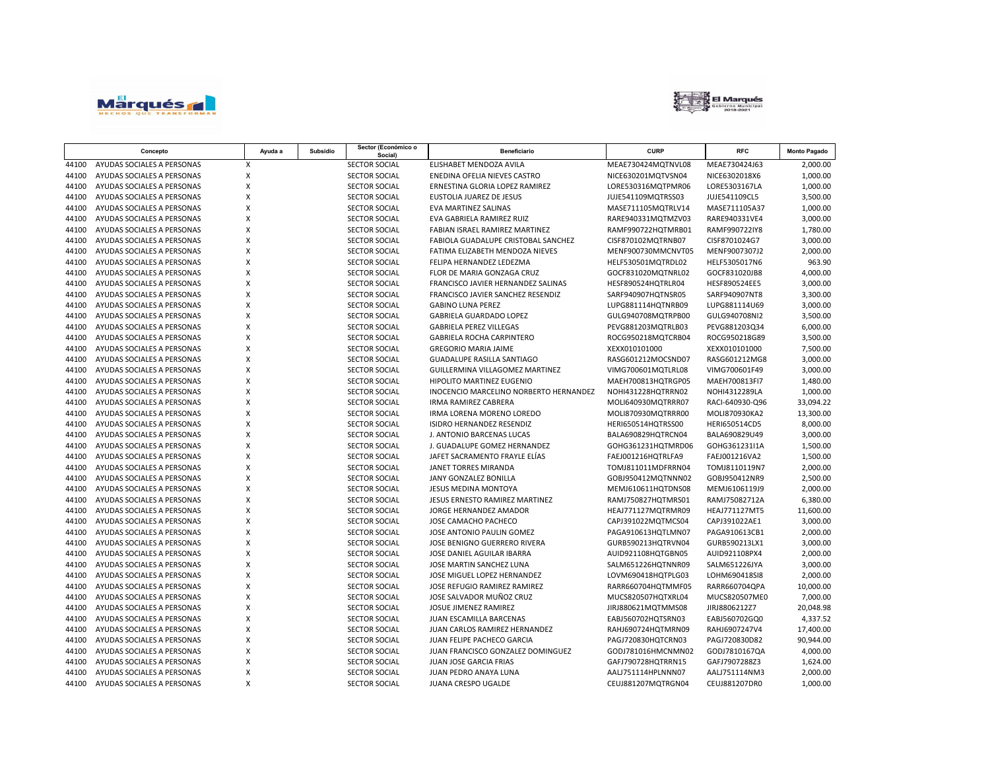



|       | Concepto                   | Ayuda a      | Subsidio | Sector (Económico o<br>Social) | Beneficiario                           | <b>CURP</b>        | <b>RFC</b>      | <b>Monto Pagado</b> |
|-------|----------------------------|--------------|----------|--------------------------------|----------------------------------------|--------------------|-----------------|---------------------|
| 44100 | AYUDAS SOCIALES A PERSONAS | X            |          | <b>SECTOR SOCIAL</b>           | ELISHABET MENDOZA AVILA                | MEAE730424MQTNVL08 | MEAE730424J63   | 2,000.00            |
| 44100 | AYUDAS SOCIALES A PERSONAS | X            |          | <b>SECTOR SOCIAL</b>           | ENEDINA OFELIA NIEVES CASTRO           | NICE630201MQTVSN04 | NICE6302018X6   | 1,000.00            |
| 44100 | AYUDAS SOCIALES A PERSONAS | $\mathsf{x}$ |          | <b>SECTOR SOCIAL</b>           | ERNESTINA GLORIA LOPEZ RAMIREZ         | LORE530316MOTPMR06 | LORE5303167LA   | 1,000.00            |
| 44100 | AYUDAS SOCIALES A PERSONAS | X            |          | <b>SECTOR SOCIAL</b>           | EUSTOLIA JUAREZ DE JESUS               | JUJE541109MQTRSS03 | JUJE541109CL5   | 3,500.00            |
| 44100 | AYUDAS SOCIALES A PERSONAS | X            |          | <b>SECTOR SOCIAL</b>           | <b>EVA MARTINEZ SALINAS</b>            | MASE711105MQTRLV14 | MASE711105A37   | 1,000.00            |
| 44100 | AYUDAS SOCIALES A PERSONAS | X            |          | <b>SECTOR SOCIAL</b>           | EVA GABRIELA RAMIREZ RUIZ              | RARE940331MQTMZV03 | RARE940331VE4   | 3,000.00            |
| 44100 | AYUDAS SOCIALES A PERSONAS | X            |          | SECTOR SOCIAL                  | FABIAN ISRAEL RAMIREZ MARTINEZ         | RAMF990722HQTMRB01 | RAMF990722IY8   | 1,780.00            |
| 44100 | AYUDAS SOCIALES A PERSONAS | Χ            |          | SECTOR SOCIAL                  | FABIOLA GUADALUPE CRISTOBAL SANCHEZ    | CISF870102MQTRNB07 | CISF8701024G7   | 3,000.00            |
| 44100 | AYUDAS SOCIALES A PERSONAS | X            |          | <b>SECTOR SOCIAL</b>           | FATIMA ELIZABETH MENDOZA NIEVES        | MENF900730MMCNVT05 | MENF9007307J2   | 2,000.00            |
| 44100 | AYUDAS SOCIALES A PERSONAS | X            |          | <b>SECTOR SOCIAL</b>           | FELIPA HERNANDEZ LEDEZMA               | HELF530501MQTRDL02 | HELF5305017N6   | 963.90              |
| 44100 | AYUDAS SOCIALES A PERSONAS | X            |          | SECTOR SOCIAL                  | FLOR DE MARIA GONZAGA CRUZ             | GOCF831020MQTNRL02 | GOCF831020JB8   | 4,000.00            |
| 44100 | AYUDAS SOCIALES A PERSONAS | X            |          | <b>SECTOR SOCIAL</b>           | FRANCISCO JAVIER HERNANDEZ SALINAS     | HESF890524HQTRLR04 | HESF890524EE5   | 3,000.00            |
| 44100 | AYUDAS SOCIALES A PERSONAS | X            |          | <b>SECTOR SOCIAL</b>           | FRANCISCO JAVIER SANCHEZ RESENDIZ      | SARF940907HQTNSR05 | SARF940907NT8   | 3,300.00            |
| 44100 | AYUDAS SOCIALES A PERSONAS | X            |          | <b>SECTOR SOCIAL</b>           | <b>GABINO LUNA PEREZ</b>               | LUPG881114HQTNRB09 | LUPG881114U69   | 3,000.00            |
| 44100 | AYUDAS SOCIALES A PERSONAS | X            |          | <b>SECTOR SOCIAL</b>           | GABRIELA GUARDADO LOPEZ                | GULG940708MQTRPB00 | GULG940708NI2   | 3,500.00            |
| 44100 | AYUDAS SOCIALES A PERSONAS | $\mathsf{x}$ |          | <b>SECTOR SOCIAL</b>           | <b>GABRIELA PEREZ VILLEGAS</b>         | PEVG881203MQTRLB03 | PEVG881203Q34   | 6,000.00            |
| 44100 | AYUDAS SOCIALES A PERSONAS | $\mathsf{x}$ |          | <b>SECTOR SOCIAL</b>           | <b>GABRIELA ROCHA CARPINTERO</b>       | ROCG950218MQTCRB04 | ROCG950218G89   | 3,500.00            |
| 44100 | AYUDAS SOCIALES A PERSONAS | X            |          | <b>SECTOR SOCIAL</b>           | <b>GREGORIO MARIA JAIME</b>            | XEXX010101000      | XEXX010101000   | 7,500.00            |
| 44100 | AYUDAS SOCIALES A PERSONAS | X            |          | <b>SECTOR SOCIAL</b>           | <b>GUADALUPE RASILLA SANTIAGO</b>      | RASG601212MOCSND07 | RASG601212MG8   | 3,000.00            |
| 44100 | AYUDAS SOCIALES A PERSONAS | X            |          | <b>SECTOR SOCIAL</b>           | GUILLERMINA VILLAGOMEZ MARTINEZ        | VIMG700601MQTLRL08 | VIMG700601F49   | 3,000.00            |
| 44100 | AYUDAS SOCIALES A PERSONAS | X            |          | SECTOR SOCIAL                  | HIPOLITO MARTINEZ EUGENIO              | MAEH700813HQTRGP05 | MAEH700813FI7   | 1,480.00            |
| 44100 | AYUDAS SOCIALES A PERSONAS | X            |          | <b>SECTOR SOCIAL</b>           | INOCENCIO MARCELINO NORBERTO HERNANDEZ | NOHI431228HQTRRN02 | NOHI4312289LA   | 1,000.00            |
| 44100 | AYUDAS SOCIALES A PERSONAS | X            |          | <b>SECTOR SOCIAL</b>           | <b>IRMA RAMIREZ CABRERA</b>            | MOLI640930MQTRRR07 | RACI-640930-Q96 | 33,094.22           |
| 44100 | AYUDAS SOCIALES A PERSONAS | X            |          | <b>SECTOR SOCIAL</b>           | IRMA LORENA MORENO LOREDO              | MOLI870930MQTRRR00 | MOLI870930KA2   | 13,300.00           |
| 44100 | AYUDAS SOCIALES A PERSONAS | X            |          | <b>SECTOR SOCIAL</b>           | ISIDRO HERNANDEZ RESENDIZ              | HERI650514HQTRSS00 | HERI650514CD5   | 8,000.00            |
| 44100 | AYUDAS SOCIALES A PERSONAS | X            |          | <b>SECTOR SOCIAL</b>           | J. ANTONIO BARCENAS LUCAS              | BALA690829HQTRCN04 | BALA690829U49   | 3,000.00            |
| 44100 | AYUDAS SOCIALES A PERSONAS | X            |          | <b>SECTOR SOCIAL</b>           | J. GUADALUPE GOMEZ HERNANDEZ           | GOHG361231HQTMRD06 | GOHG361231I1A   | 1,500.00            |
| 44100 | AYUDAS SOCIALES A PERSONAS | X            |          | <b>SECTOR SOCIAL</b>           | JAFET SACRAMENTO FRAYLE ELÍAS          | FAEJ001216HQTRLFA9 | FAEJ001216VA2   | 1,500.00            |
| 44100 | AYUDAS SOCIALES A PERSONAS | X            |          | <b>SECTOR SOCIAL</b>           | JANET TORRES MIRANDA                   | TOMJ811011MDFRRN04 | TOMJ8110119N7   | 2,000.00            |
| 44100 | AYUDAS SOCIALES A PERSONAS | X            |          | <b>SECTOR SOCIAL</b>           | <b>JANY GONZALEZ BONILLA</b>           | GOBJ950412MQTNNN02 | GOBJ950412NR9   | 2,500.00            |
| 44100 | AYUDAS SOCIALES A PERSONAS | X            |          | <b>SECTOR SOCIAL</b>           | <b>JESUS MEDINA MONTOYA</b>            | MEMJ610611HOTDNS08 | MEMJ6106119J9   | 2,000.00            |
| 44100 | AYUDAS SOCIALES A PERSONAS | $\mathsf{x}$ |          | <b>SECTOR SOCIAL</b>           | JESUS ERNESTO RAMIREZ MARTINEZ         | RAMJ750827HQTMRS01 | RAMJ75082712A   | 6,380.00            |
| 44100 | AYUDAS SOCIALES A PERSONAS | X            |          | <b>SECTOR SOCIAL</b>           | JORGE HERNANDEZ AMADOR                 | HEAJ771127MQTRMR09 | HEAJ771127MT5   | 11,600.00           |
| 44100 | AYUDAS SOCIALES A PERSONAS | $\mathsf{x}$ |          | <b>SECTOR SOCIAL</b>           | JOSE CAMACHO PACHECO                   | CAPJ391022MQTMCS04 | CAPJ391022AE1   | 3,000.00            |
| 44100 | AYUDAS SOCIALES A PERSONAS | X            |          | <b>SECTOR SOCIAL</b>           | JOSE ANTONIO PAULIN GOMEZ              | PAGA910613HQTLMN07 | PAGA910613CB1   | 2,000.00            |
| 44100 | AYUDAS SOCIALES A PERSONAS | X            |          | <b>SECTOR SOCIAL</b>           | JOSE BENIGNO GUERRERO RIVERA           | GURB590213HQTRVN04 | GURB590213LX1   | 3,000.00            |
| 44100 | AYUDAS SOCIALES A PERSONAS | X            |          | <b>SECTOR SOCIAL</b>           | JOSE DANIEL AGUILAR IBARRA             | AUID921108HQTGBN05 | AUID921108PX4   | 2,000.00            |
| 44100 | AYUDAS SOCIALES A PERSONAS | X            |          | <b>SECTOR SOCIAL</b>           | JOSE MARTIN SANCHEZ LUNA               | SALM651226HQTNNR09 | SALM651226JYA   | 3,000.00            |
| 44100 | AYUDAS SOCIALES A PERSONAS | X            |          | SECTOR SOCIAL                  | JOSE MIGUEL LOPEZ HERNANDEZ            | LOVM690418HQTPLG03 | LOHM690418SI8   | 2,000.00            |
| 44100 | AYUDAS SOCIALES A PERSONAS | X            |          | <b>SECTOR SOCIAL</b>           | JOSE REFUGIO RAMIREZ RAMIREZ           | RARR660704HQTMMF05 | RARR660704QPA   | 10,000.00           |
| 44100 | AYUDAS SOCIALES A PERSONAS | X            |          | <b>SECTOR SOCIAL</b>           | JOSE SALVADOR MUÑOZ CRUZ               | MUCS820507HQTXRL04 | MUCS820507ME0   | 7,000.00            |
| 44100 | AYUDAS SOCIALES A PERSONAS | X            |          | SECTOR SOCIAL                  | JOSUE JIMENEZ RAMIREZ                  | JIRJ880621MQTMMS08 | JIRJ8806212Z7   | 20,048.98           |
| 44100 | AYUDAS SOCIALES A PERSONAS | X            |          | SECTOR SOCIAL                  | JUAN ESCAMILLA BARCENAS                | EABJ560702HQTSRN03 | EABJ560702GQ0   | 4,337.52            |
| 44100 | AYUDAS SOCIALES A PERSONAS | X            |          | <b>SECTOR SOCIAL</b>           | JUAN CARLOS RAMIREZ HERNANDEZ          | RAHJ690724HQTMRN09 | RAHJ6907247V4   | 17,400.00           |
| 44100 | AYUDAS SOCIALES A PERSONAS | X            |          | <b>SECTOR SOCIAL</b>           | JUAN FELIPE PACHECO GARCIA             | PAGJ720830HQTCRN03 | PAGJ720830D82   | 90,944.00           |
| 44100 | AYUDAS SOCIALES A PERSONAS | X            |          | <b>SECTOR SOCIAL</b>           | JUAN FRANCISCO GONZALEZ DOMINGUEZ      | GODJ781016HMCNMN02 | GODJ7810167QA   | 4,000.00            |
| 44100 | AYUDAS SOCIALES A PERSONAS | X            |          | <b>SECTOR SOCIAL</b>           | <b>JUAN JOSE GARCIA FRIAS</b>          | GAFJ790728HQTRRN15 | GAFJ7907288Z3   | 1,624.00            |
| 44100 | AYUDAS SOCIALES A PERSONAS | X            |          | <b>SECTOR SOCIAL</b>           | <b>JUAN PEDRO ANAYA LUNA</b>           | AALJ751114HPLNNN07 | AALJ751114NM3   | 2,000.00            |
| 44100 | AYUDAS SOCIALES A PERSONAS | X            |          | <b>SECTOR SOCIAL</b>           | JUANA CRESPO UGALDE                    | CEUJ881207MQTRGN04 | CEUJ881207DR0   | 1,000.00            |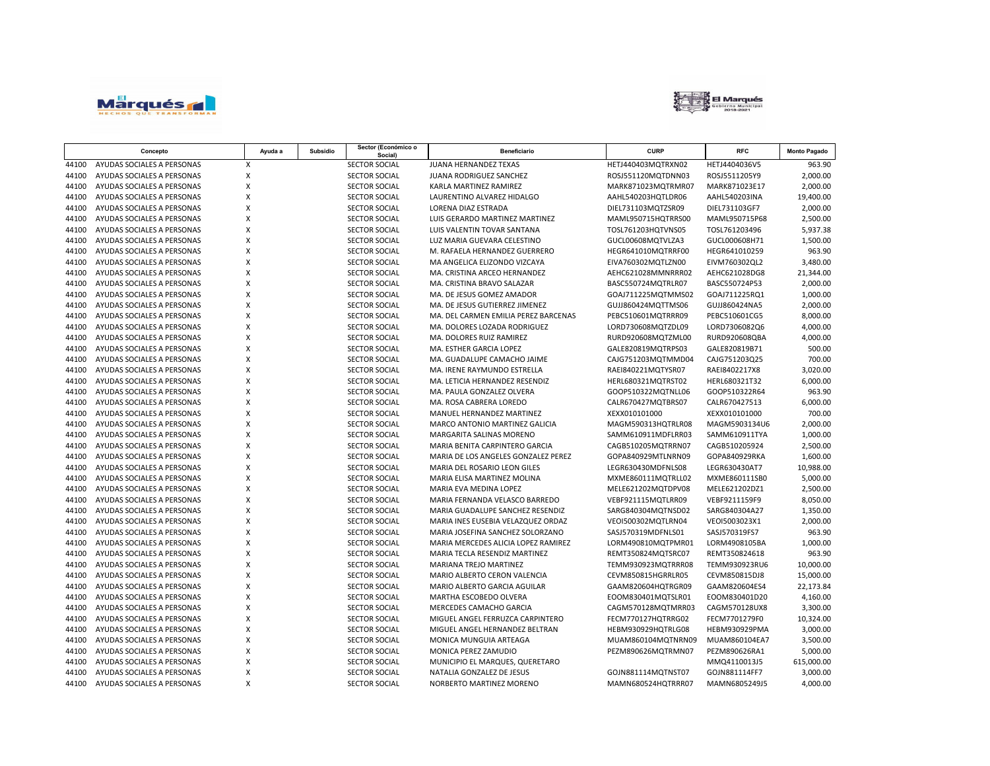



| Social)<br>AYUDAS SOCIALES A PERSONAS<br><b>SECTOR SOCIAL</b><br>X<br>JUANA HERNANDEZ TEXAS<br>HETJ440403MQTRXN02<br>HETJ4404036V5<br>44100<br>X<br>44100<br>AYUDAS SOCIALES A PERSONAS<br><b>SECTOR SOCIAL</b><br><b>JUANA RODRIGUEZ SANCHEZ</b><br>ROSJ551120MQTDNN03<br>ROSJ5511205Y9<br>X<br>AYUDAS SOCIALES A PERSONAS<br>44100<br><b>SECTOR SOCIAL</b><br>KARLA MARTINEZ RAMIREZ<br>MARK871023MQTRMR07<br>MARK871023E17<br>X<br>AYUDAS SOCIALES A PERSONAS<br>SECTOR SOCIAL<br>AAHL540203HQTLDR06<br>44100<br>LAURENTINO ALVAREZ HIDALGO<br>AAHL540203INA | 963.90<br>2,000.00<br>2,000.00<br>19,400.00<br>2,000.00<br>2,500.00<br>5,937.38 |
|-----------------------------------------------------------------------------------------------------------------------------------------------------------------------------------------------------------------------------------------------------------------------------------------------------------------------------------------------------------------------------------------------------------------------------------------------------------------------------------------------------------------------------------------------------------------|---------------------------------------------------------------------------------|
|                                                                                                                                                                                                                                                                                                                                                                                                                                                                                                                                                                 |                                                                                 |
|                                                                                                                                                                                                                                                                                                                                                                                                                                                                                                                                                                 |                                                                                 |
|                                                                                                                                                                                                                                                                                                                                                                                                                                                                                                                                                                 |                                                                                 |
|                                                                                                                                                                                                                                                                                                                                                                                                                                                                                                                                                                 |                                                                                 |
| $\mathsf{x}$<br>44100<br>AYUDAS SOCIALES A PERSONAS<br><b>SECTOR SOCIAL</b><br><b>LORENA DIAZ ESTRADA</b><br>DIEL731103MQTZSR09<br>DIEL731103GF7                                                                                                                                                                                                                                                                                                                                                                                                                |                                                                                 |
| X<br>AYUDAS SOCIALES A PERSONAS<br>SECTOR SOCIAL<br>MAML950715P68<br>44100<br>LUIS GERARDO MARTINEZ MARTINEZ<br>MAML950715HQTRRS00                                                                                                                                                                                                                                                                                                                                                                                                                              |                                                                                 |
| X<br>44100<br>AYUDAS SOCIALES A PERSONAS<br><b>SECTOR SOCIAL</b><br>TOSL761203HQTVNS05<br>TOSL761203496<br>LUIS VALENTIN TOVAR SANTANA                                                                                                                                                                                                                                                                                                                                                                                                                          |                                                                                 |
| X<br>44100<br>AYUDAS SOCIALES A PERSONAS<br><b>SECTOR SOCIAL</b><br>LUZ MARIA GUEVARA CELESTINO<br>GUCL00608MQTVLZA3<br>GUCL000608H71                                                                                                                                                                                                                                                                                                                                                                                                                           | 1,500.00                                                                        |
| X<br>44100<br>AYUDAS SOCIALES A PERSONAS<br><b>SECTOR SOCIAL</b><br>HEGR641010MQTRRF00<br>HEGR641010259<br>M. RAFAELA HERNANDEZ GUERRERO                                                                                                                                                                                                                                                                                                                                                                                                                        | 963.90                                                                          |
| $\pmb{\mathsf{X}}$<br>44100<br>AYUDAS SOCIALES A PERSONAS<br>SECTOR SOCIAL<br>MA ANGELICA ELIZONDO VIZCAYA<br>EIVA760302MQTLZN00<br>EIVM760302QL2                                                                                                                                                                                                                                                                                                                                                                                                               | 3,480.00                                                                        |
| X<br>44100<br>AYUDAS SOCIALES A PERSONAS<br><b>SECTOR SOCIAL</b><br>MA. CRISTINA ARCEO HERNANDEZ<br>AEHC621028MMNRRR02<br>AEHC621028DG8                                                                                                                                                                                                                                                                                                                                                                                                                         | 21,344.00                                                                       |
| $\pmb{\mathsf{X}}$<br>AYUDAS SOCIALES A PERSONAS<br>SECTOR SOCIAL<br>BASC550724MQTRLR07<br>BASC550724P53<br>44100<br>MA. CRISTINA BRAVO SALAZAR                                                                                                                                                                                                                                                                                                                                                                                                                 | 2,000.00                                                                        |
| X<br>44100<br>AYUDAS SOCIALES A PERSONAS<br><b>SECTOR SOCIAL</b><br>MA. DE JESUS GOMEZ AMADOR<br>GOAJ711225MQTMMS02<br>GOAJ711225RQ1                                                                                                                                                                                                                                                                                                                                                                                                                            | 1,000.00                                                                        |
| X<br>44100<br>AYUDAS SOCIALES A PERSONAS<br><b>SECTOR SOCIAL</b><br>MA. DE JESUS GUTIERREZ JIMENEZ<br>GUJJ860424MQTTMS06<br>GUJJ860424NA5                                                                                                                                                                                                                                                                                                                                                                                                                       | 2,000.00                                                                        |
| X<br>44100<br>AYUDAS SOCIALES A PERSONAS<br><b>SECTOR SOCIAL</b><br>MA. DEL CARMEN EMILIA PEREZ BARCENAS<br>PEBC510601MQTRRR09<br>PEBC510601CG5                                                                                                                                                                                                                                                                                                                                                                                                                 | 8,000.00                                                                        |
| X<br>AYUDAS SOCIALES A PERSONAS<br>SECTOR SOCIAL<br>44100<br>MA. DOLORES LOZADA RODRIGUEZ<br>LORD730608MQTZDL09<br>LORD7306082Q6                                                                                                                                                                                                                                                                                                                                                                                                                                | 4,000.00                                                                        |
| X<br>44100<br>AYUDAS SOCIALES A PERSONAS<br><b>SECTOR SOCIAL</b><br>MA. DOLORES RUIZ RAMIREZ<br>RURD920608QBA<br>RURD920608MQTZML00                                                                                                                                                                                                                                                                                                                                                                                                                             | 4,000.00                                                                        |
| X<br>44100<br>AYUDAS SOCIALES A PERSONAS<br><b>SECTOR SOCIAL</b><br>MA. ESTHER GARCIA LOPEZ<br>GALE820819MQTRPS03<br>GALE820819B71                                                                                                                                                                                                                                                                                                                                                                                                                              | 500.00                                                                          |
| X<br>44100<br>AYUDAS SOCIALES A PERSONAS<br>SECTOR SOCIAL<br>MA. GUADALUPE CAMACHO JAIME<br>CAJG751203MQTMMD04<br>CAJG751203Q25                                                                                                                                                                                                                                                                                                                                                                                                                                 | 700.00                                                                          |
| 44100<br>X<br>AYUDAS SOCIALES A PERSONAS<br><b>SECTOR SOCIAL</b><br>MA. IRENE RAYMUNDO ESTRELLA<br>RAEI840221MQTYSR07<br>RAE18402217X8                                                                                                                                                                                                                                                                                                                                                                                                                          | 3,020.00                                                                        |
| 44100<br>AYUDAS SOCIALES A PERSONAS<br>X<br>SECTOR SOCIAL<br>MA. LETICIA HERNANDEZ RESENDIZ<br>HERL680321MQTRST02<br>HERL680321T32                                                                                                                                                                                                                                                                                                                                                                                                                              | 6,000.00                                                                        |
| X<br>44100<br>AYUDAS SOCIALES A PERSONAS<br><b>SECTOR SOCIAL</b><br>MA. PAULA GONZALEZ OLVERA<br>GOOP510322MQTNLL06<br>GOOP510322R64                                                                                                                                                                                                                                                                                                                                                                                                                            | 963.90                                                                          |
| X<br>44100<br>AYUDAS SOCIALES A PERSONAS<br><b>SECTOR SOCIAL</b><br>MA. ROSA CABRERA LOREDO<br>CALR670427MQTBRS07<br>CALR670427513                                                                                                                                                                                                                                                                                                                                                                                                                              | 6,000.00                                                                        |
| X<br>44100<br>AYUDAS SOCIALES A PERSONAS<br><b>SECTOR SOCIAL</b><br>MANUEL HERNANDEZ MARTINEZ<br>XEXX010101000<br>XEXX010101000                                                                                                                                                                                                                                                                                                                                                                                                                                 | 700.00                                                                          |
| X<br>44100<br>AYUDAS SOCIALES A PERSONAS<br>SECTOR SOCIAL<br>MARCO ANTONIO MARTINEZ GALICIA<br>MAGM590313HQTRLR08<br>MAGM5903134U6                                                                                                                                                                                                                                                                                                                                                                                                                              | 2,000.00                                                                        |
| X<br>44100<br>AYUDAS SOCIALES A PERSONAS<br><b>SECTOR SOCIAL</b><br>MARGARITA SALINAS MORENO<br>SAMM610911MDFLRR03<br>SAMM610911TYA                                                                                                                                                                                                                                                                                                                                                                                                                             | 1,000.00                                                                        |
| $\mathsf{x}$<br>44100<br>AYUDAS SOCIALES A PERSONAS<br><b>SECTOR SOCIAL</b><br>MARIA BENITA CARPINTERO GARCIA<br>CAGB510205MQTRRN07<br>CAGB510205924                                                                                                                                                                                                                                                                                                                                                                                                            | 2,500.00                                                                        |
| X<br>44100<br>AYUDAS SOCIALES A PERSONAS<br><b>SECTOR SOCIAL</b><br>MARIA DE LOS ANGELES GONZALEZ PEREZ<br>GOPA840929MTLNRN09<br>GOPA840929RKA                                                                                                                                                                                                                                                                                                                                                                                                                  | 1,600.00                                                                        |
| X<br>44100<br>AYUDAS SOCIALES A PERSONAS<br>SECTOR SOCIAL<br>MARIA DEL ROSARIO LEON GILES<br>LEGR630430MDFNLS08<br>LEGR630430AT7                                                                                                                                                                                                                                                                                                                                                                                                                                | 10,988.00                                                                       |
| $\mathsf{x}$<br>AYUDAS SOCIALES A PERSONAS<br>44100<br><b>SECTOR SOCIAL</b><br>MARIA ELISA MARTINEZ MOLINA<br>MXME860111MQTRLL02<br>MXME860111SB0                                                                                                                                                                                                                                                                                                                                                                                                               | 5,000.00                                                                        |
| X<br>AYUDAS SOCIALES A PERSONAS<br>SECTOR SOCIAL<br>MELE621202DZ1<br>44100<br>MARIA EVA MEDINA LOPEZ<br>MELE621202MQTDPV08                                                                                                                                                                                                                                                                                                                                                                                                                                      | 2,500.00                                                                        |
| $\mathsf{x}$<br>44100<br>AYUDAS SOCIALES A PERSONAS<br>SECTOR SOCIAL<br>VEBF921115MQTLRR09<br>VEBF9211159F9<br>MARIA FERNANDA VELASCO BARREDO                                                                                                                                                                                                                                                                                                                                                                                                                   | 8,050.00                                                                        |
| $\mathsf{x}$<br>44100<br>AYUDAS SOCIALES A PERSONAS<br><b>SECTOR SOCIAL</b><br>MARIA GUADALUPE SANCHEZ RESENDIZ<br>SARG840304MQTNSD02<br>SARG840304A27                                                                                                                                                                                                                                                                                                                                                                                                          | 1,350.00                                                                        |
| X<br>44100<br>AYUDAS SOCIALES A PERSONAS<br><b>SECTOR SOCIAL</b><br>VEOI500302MQTLRN04<br>VEOI5003023X1<br>MARIA INES EUSEBIA VELAZQUEZ ORDAZ                                                                                                                                                                                                                                                                                                                                                                                                                   | 2,000.00                                                                        |
| X<br>44100<br>AYUDAS SOCIALES A PERSONAS<br>SECTOR SOCIAL<br>MARIA JOSEFINA SANCHEZ SOLORZANO<br>SASJ570319MDFNLS01<br>SASJ570319FS7                                                                                                                                                                                                                                                                                                                                                                                                                            | 963.90                                                                          |
| X<br>44100<br>AYUDAS SOCIALES A PERSONAS<br><b>SECTOR SOCIAL</b><br>MARIA MERCEDES ALICIA LOPEZ RAMIREZ<br>LORM490810MQTPMR01<br>LORM4908105BA                                                                                                                                                                                                                                                                                                                                                                                                                  | 1,000.00                                                                        |
| X<br>44100<br>AYUDAS SOCIALES A PERSONAS<br>SECTOR SOCIAL<br>MARIA TECLA RESENDIZ MARTINEZ<br>REMT350824MQTSRC07<br>REMT350824618                                                                                                                                                                                                                                                                                                                                                                                                                               | 963.90                                                                          |
| X<br>44100<br>AYUDAS SOCIALES A PERSONAS<br>SECTOR SOCIAL<br>MARIANA TREJO MARTINEZ<br>TEMM930923MQTRRR08<br>TEMM930923RU6                                                                                                                                                                                                                                                                                                                                                                                                                                      | 10,000.00                                                                       |
| X<br>AYUDAS SOCIALES A PERSONAS<br>44100<br><b>SECTOR SOCIAL</b><br>MARIO ALBERTO CERON VALENCIA<br>CEVM850815HGRRLR05<br>CEVM850815DJ8                                                                                                                                                                                                                                                                                                                                                                                                                         | 15,000.00                                                                       |
| X<br>AYUDAS SOCIALES A PERSONAS<br><b>SECTOR SOCIAL</b><br>MARIO ALBERTO GARCIA AGUILAR<br>GAAM820604HQTRGR09<br>GAAM820604ES4<br>44100                                                                                                                                                                                                                                                                                                                                                                                                                         | 22,173.84                                                                       |
| X<br>44100<br>AYUDAS SOCIALES A PERSONAS<br><b>SECTOR SOCIAL</b><br>MARTHA ESCOBEDO OLVERA<br>EOOM830401MQTSLR01<br>EOOM830401D20                                                                                                                                                                                                                                                                                                                                                                                                                               | 4,160.00                                                                        |
| X<br>44100<br>AYUDAS SOCIALES A PERSONAS<br><b>SECTOR SOCIAL</b><br>MERCEDES CAMACHO GARCIA<br>CAGM570128MQTMRR03<br>CAGM570128UX8                                                                                                                                                                                                                                                                                                                                                                                                                              | 3,300.00                                                                        |
| X<br>44100<br>AYUDAS SOCIALES A PERSONAS<br><b>SECTOR SOCIAL</b><br>MIGUEL ANGEL FERRUZCA CARPINTERO<br>FECM770127HQTRRG02<br>FECM7701279F0                                                                                                                                                                                                                                                                                                                                                                                                                     | 10,324.00                                                                       |
| X<br>44100<br>AYUDAS SOCIALES A PERSONAS<br>SECTOR SOCIAL<br>MIGUEL ANGEL HERNANDEZ BELTRAN<br>HEBM930929HQTRLG08<br><b>HEBM930929PMA</b>                                                                                                                                                                                                                                                                                                                                                                                                                       | 3,000.00                                                                        |
| $\mathsf{x}$<br>44100<br>AYUDAS SOCIALES A PERSONAS<br><b>SECTOR SOCIAL</b><br>MONICA MUNGUIA ARTEAGA<br>MUAM860104MQTNRN09<br>MUAM860104EA7                                                                                                                                                                                                                                                                                                                                                                                                                    | 3,500.00                                                                        |
| X<br>44100<br>AYUDAS SOCIALES A PERSONAS<br>SECTOR SOCIAL<br>PEZM890626MQTRMN07<br>PEZM890626RA1<br>MONICA PEREZ ZAMUDIO                                                                                                                                                                                                                                                                                                                                                                                                                                        | 5,000.00                                                                        |
| X<br>44100<br>AYUDAS SOCIALES A PERSONAS<br><b>SECTOR SOCIAL</b><br>MUNICIPIO EL MARQUES, QUERETARO<br>MMQ4110013J5                                                                                                                                                                                                                                                                                                                                                                                                                                             | 615,000.00                                                                      |
| AYUDAS SOCIALES A PERSONAS<br>X<br>44100<br><b>SECTOR SOCIAL</b><br>NATALIA GONZALEZ DE JESUS<br>GOJN881114MQTNST07<br>GOJN881114FF7                                                                                                                                                                                                                                                                                                                                                                                                                            | 3,000.00                                                                        |
| X<br>44100<br>AYUDAS SOCIALES A PERSONAS<br>SECTOR SOCIAL<br>NORBERTO MARTINEZ MORENO<br>MAMN680524HQTRRR07<br>MAMN6805249J5                                                                                                                                                                                                                                                                                                                                                                                                                                    | 4,000.00                                                                        |